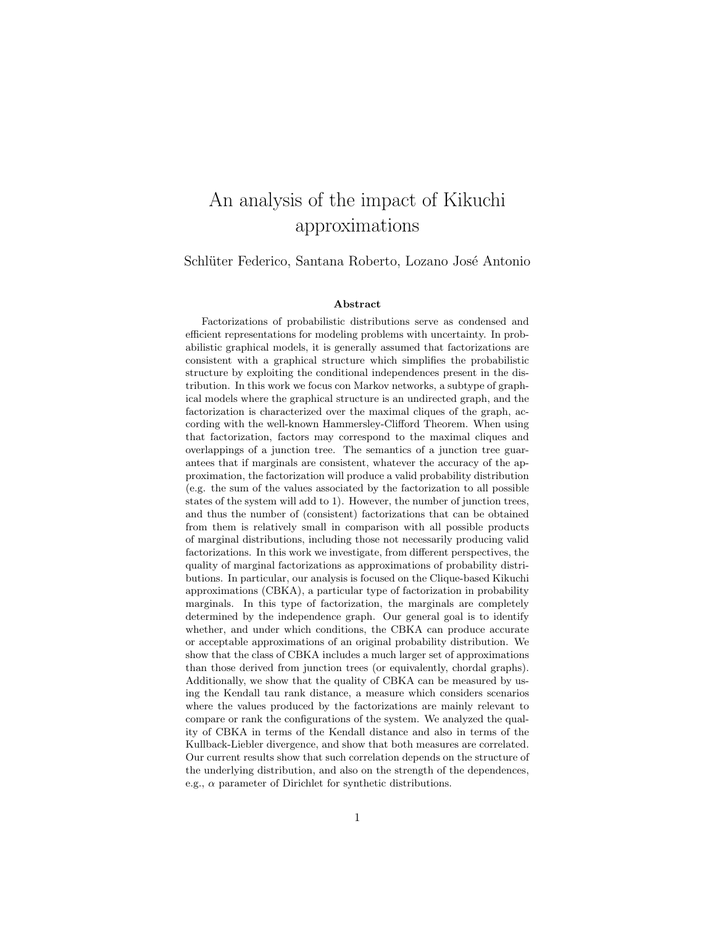# An analysis of the impact of Kikuchi approximations

Schlüter Federico, Santana Roberto, Lozano José Antonio

#### Abstract

Factorizations of probabilistic distributions serve as condensed and efficient representations for modeling problems with uncertainty. In probabilistic graphical models, it is generally assumed that factorizations are consistent with a graphical structure which simplifies the probabilistic structure by exploiting the conditional independences present in the distribution. In this work we focus con Markov networks, a subtype of graphical models where the graphical structure is an undirected graph, and the factorization is characterized over the maximal cliques of the graph, according with the well-known Hammersley-Clifford Theorem. When using that factorization, factors may correspond to the maximal cliques and overlappings of a junction tree. The semantics of a junction tree guarantees that if marginals are consistent, whatever the accuracy of the approximation, the factorization will produce a valid probability distribution (e.g. the sum of the values associated by the factorization to all possible states of the system will add to 1). However, the number of junction trees, and thus the number of (consistent) factorizations that can be obtained from them is relatively small in comparison with all possible products of marginal distributions, including those not necessarily producing valid factorizations. In this work we investigate, from different perspectives, the quality of marginal factorizations as approximations of probability distributions. In particular, our analysis is focused on the Clique-based Kikuchi approximations (CBKA), a particular type of factorization in probability marginals. In this type of factorization, the marginals are completely determined by the independence graph. Our general goal is to identify whether, and under which conditions, the CBKA can produce accurate or acceptable approximations of an original probability distribution. We show that the class of CBKA includes a much larger set of approximations than those derived from junction trees (or equivalently, chordal graphs). Additionally, we show that the quality of CBKA can be measured by using the Kendall tau rank distance, a measure which considers scenarios where the values produced by the factorizations are mainly relevant to compare or rank the configurations of the system. We analyzed the quality of CBKA in terms of the Kendall distance and also in terms of the Kullback-Liebler divergence, and show that both measures are correlated. Our current results show that such correlation depends on the structure of the underlying distribution, and also on the strength of the dependences, e.g.,  $\alpha$  parameter of Dirichlet for synthetic distributions.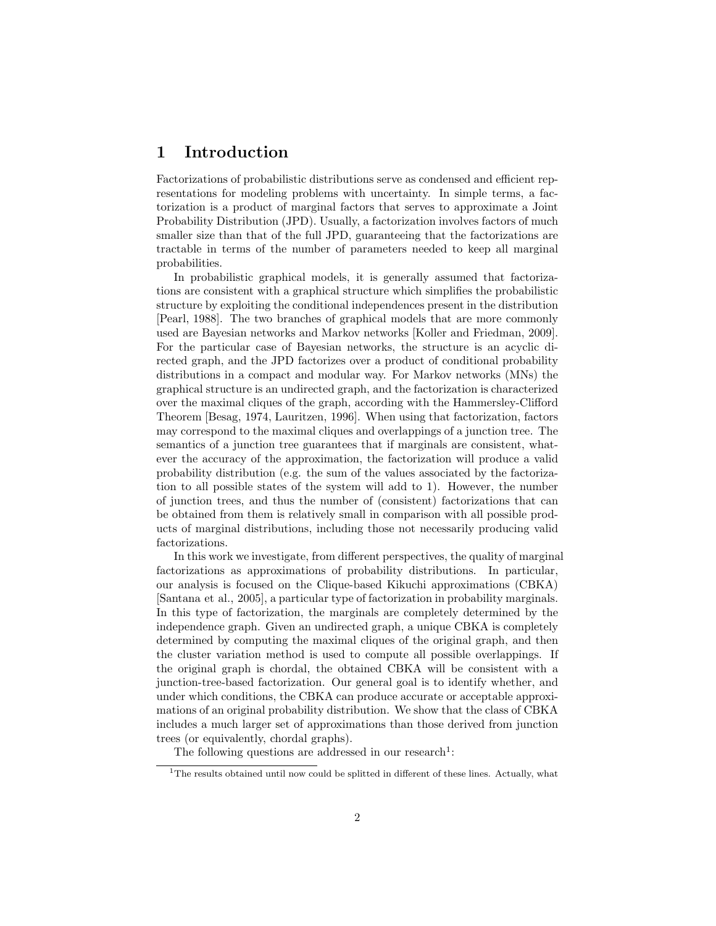# 1 Introduction

Factorizations of probabilistic distributions serve as condensed and efficient representations for modeling problems with uncertainty. In simple terms, a factorization is a product of marginal factors that serves to approximate a Joint Probability Distribution (JPD). Usually, a factorization involves factors of much smaller size than that of the full JPD, guaranteeing that the factorizations are tractable in terms of the number of parameters needed to keep all marginal probabilities.

In probabilistic graphical models, it is generally assumed that factorizations are consistent with a graphical structure which simplifies the probabilistic structure by exploiting the conditional independences present in the distribution [Pearl, 1988]. The two branches of graphical models that are more commonly used are Bayesian networks and Markov networks [Koller and Friedman, 2009]. For the particular case of Bayesian networks, the structure is an acyclic directed graph, and the JPD factorizes over a product of conditional probability distributions in a compact and modular way. For Markov networks (MNs) the graphical structure is an undirected graph, and the factorization is characterized over the maximal cliques of the graph, according with the Hammersley-Clifford Theorem [Besag, 1974, Lauritzen, 1996]. When using that factorization, factors may correspond to the maximal cliques and overlappings of a junction tree. The semantics of a junction tree guarantees that if marginals are consistent, whatever the accuracy of the approximation, the factorization will produce a valid probability distribution (e.g. the sum of the values associated by the factorization to all possible states of the system will add to 1). However, the number of junction trees, and thus the number of (consistent) factorizations that can be obtained from them is relatively small in comparison with all possible products of marginal distributions, including those not necessarily producing valid factorizations.

In this work we investigate, from different perspectives, the quality of marginal factorizations as approximations of probability distributions. In particular, our analysis is focused on the Clique-based Kikuchi approximations (CBKA) [Santana et al., 2005], a particular type of factorization in probability marginals. In this type of factorization, the marginals are completely determined by the independence graph. Given an undirected graph, a unique CBKA is completely determined by computing the maximal cliques of the original graph, and then the cluster variation method is used to compute all possible overlappings. If the original graph is chordal, the obtained CBKA will be consistent with a junction-tree-based factorization. Our general goal is to identify whether, and under which conditions, the CBKA can produce accurate or acceptable approximations of an original probability distribution. We show that the class of CBKA includes a much larger set of approximations than those derived from junction trees (or equivalently, chordal graphs).

The following questions are addressed in our research<sup>1</sup>:

<sup>&</sup>lt;sup>1</sup>The results obtained until now could be splitted in different of these lines. Actually, what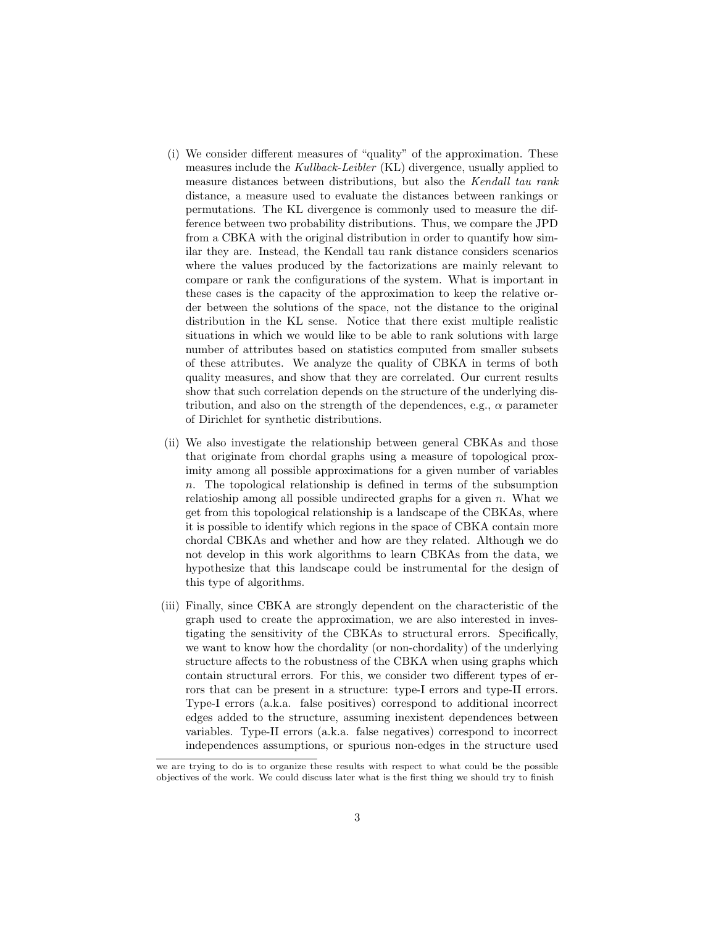- (i) We consider different measures of "quality" of the approximation. These measures include the Kullback-Leibler (KL) divergence, usually applied to measure distances between distributions, but also the Kendall tau rank distance, a measure used to evaluate the distances between rankings or permutations. The KL divergence is commonly used to measure the difference between two probability distributions. Thus, we compare the JPD from a CBKA with the original distribution in order to quantify how similar they are. Instead, the Kendall tau rank distance considers scenarios where the values produced by the factorizations are mainly relevant to compare or rank the configurations of the system. What is important in these cases is the capacity of the approximation to keep the relative order between the solutions of the space, not the distance to the original distribution in the KL sense. Notice that there exist multiple realistic situations in which we would like to be able to rank solutions with large number of attributes based on statistics computed from smaller subsets of these attributes. We analyze the quality of CBKA in terms of both quality measures, and show that they are correlated. Our current results show that such correlation depends on the structure of the underlying distribution, and also on the strength of the dependences, e.g.,  $\alpha$  parameter of Dirichlet for synthetic distributions.
- (ii) We also investigate the relationship between general CBKAs and those that originate from chordal graphs using a measure of topological proximity among all possible approximations for a given number of variables  $n.$  The topological relationship is defined in terms of the subsumption relatioship among all possible undirected graphs for a given  $n$ . What we get from this topological relationship is a landscape of the CBKAs, where it is possible to identify which regions in the space of CBKA contain more chordal CBKAs and whether and how are they related. Although we do not develop in this work algorithms to learn CBKAs from the data, we hypothesize that this landscape could be instrumental for the design of this type of algorithms.
- (iii) Finally, since CBKA are strongly dependent on the characteristic of the graph used to create the approximation, we are also interested in investigating the sensitivity of the CBKAs to structural errors. Specifically, we want to know how the chordality (or non-chordality) of the underlying structure affects to the robustness of the CBKA when using graphs which contain structural errors. For this, we consider two different types of errors that can be present in a structure: type-I errors and type-II errors. Type-I errors (a.k.a. false positives) correspond to additional incorrect edges added to the structure, assuming inexistent dependences between variables. Type-II errors (a.k.a. false negatives) correspond to incorrect independences assumptions, or spurious non-edges in the structure used

we are trying to do is to organize these results with respect to what could be the possible objectives of the work. We could discuss later what is the first thing we should try to finish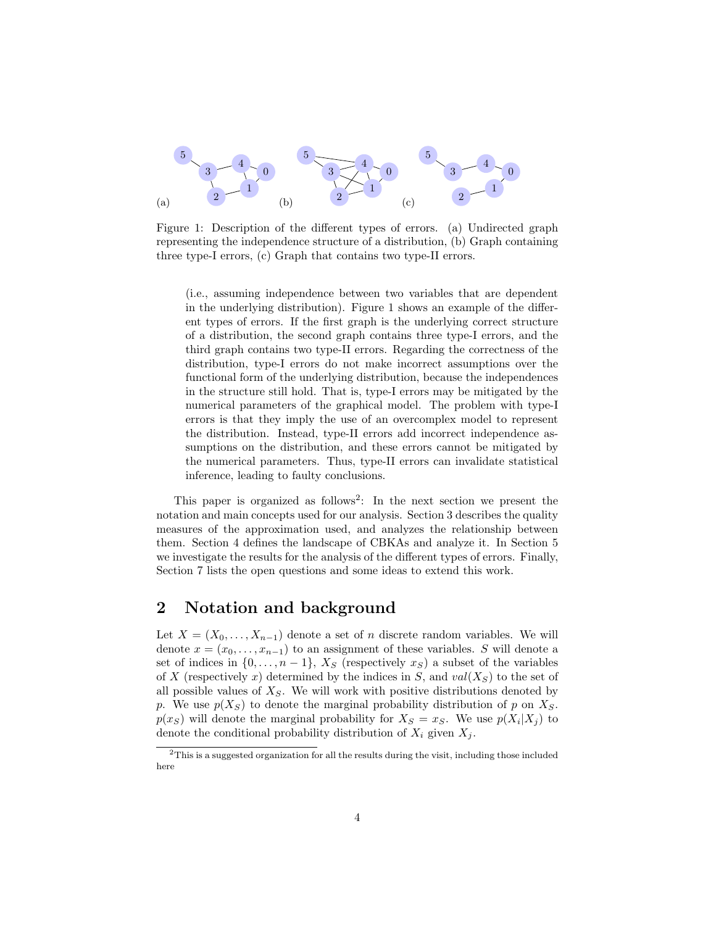

Figure 1: Description of the different types of errors. (a) Undirected graph representing the independence structure of a distribution, (b) Graph containing three type-I errors, (c) Graph that contains two type-II errors.

(i.e., assuming independence between two variables that are dependent in the underlying distribution). Figure 1 shows an example of the different types of errors. If the first graph is the underlying correct structure of a distribution, the second graph contains three type-I errors, and the third graph contains two type-II errors. Regarding the correctness of the distribution, type-I errors do not make incorrect assumptions over the functional form of the underlying distribution, because the independences in the structure still hold. That is, type-I errors may be mitigated by the numerical parameters of the graphical model. The problem with type-I errors is that they imply the use of an overcomplex model to represent the distribution. Instead, type-II errors add incorrect independence assumptions on the distribution, and these errors cannot be mitigated by the numerical parameters. Thus, type-II errors can invalidate statistical inference, leading to faulty conclusions.

This paper is organized as follows<sup>2</sup>: In the next section we present the notation and main concepts used for our analysis. Section 3 describes the quality measures of the approximation used, and analyzes the relationship between them. Section 4 defines the landscape of CBKAs and analyze it. In Section 5 we investigate the results for the analysis of the different types of errors. Finally, Section 7 lists the open questions and some ideas to extend this work.

### 2 Notation and background

Let  $X = (X_0, \ldots, X_{n-1})$  denote a set of n discrete random variables. We will denote  $x = (x_0, \ldots, x_{n-1})$  to an assignment of these variables. S will denote a set of indices in  $\{0, \ldots, n-1\}$ ,  $X_S$  (respectively  $x_S$ ) a subset of the variables of X (respectively x) determined by the indices in S, and  $val(X_S)$  to the set of all possible values of  $X<sub>S</sub>$ . We will work with positive distributions denoted by p. We use  $p(X_S)$  to denote the marginal probability distribution of p on  $X_S$ .  $p(x_S)$  will denote the marginal probability for  $X_S = x_S$ . We use  $p(X_i | X_j)$  to denote the conditional probability distribution of  $X_i$  given  $X_j$ .

 $2$ This is a suggested organization for all the results during the visit, including those included here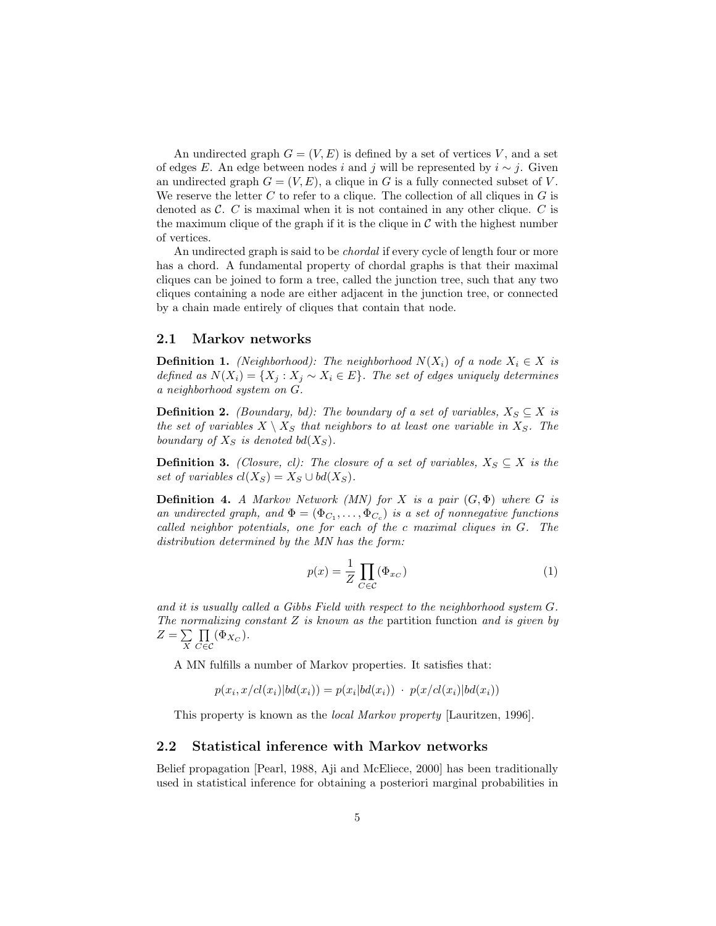An undirected graph  $G = (V, E)$  is defined by a set of vertices V, and a set of edges E. An edge between nodes i and j will be represented by  $i \sim j$ . Given an undirected graph  $G = (V, E)$ , a clique in G is a fully connected subset of V. We reserve the letter  $C$  to refer to a clique. The collection of all cliques in  $G$  is denoted as  $\mathcal{C}$ . C is maximal when it is not contained in any other clique. C is the maximum clique of the graph if it is the clique in  $\mathcal C$  with the highest number of vertices.

An undirected graph is said to be *chordal* if every cycle of length four or more has a chord. A fundamental property of chordal graphs is that their maximal cliques can be joined to form a tree, called the junction tree, such that any two cliques containing a node are either adjacent in the junction tree, or connected by a chain made entirely of cliques that contain that node.

#### 2.1 Markov networks

**Definition 1.** (Neighborhood): The neighborhood  $N(X_i)$  of a node  $X_i \in X$  is defined as  $N(X_i) = \{X_j : X_j \sim X_i \in E\}$ . The set of edges uniquely determines a neighborhood system on G.

**Definition 2.** (Boundary, bd): The boundary of a set of variables,  $X_S \subseteq X$  is the set of variables  $X \setminus X_S$  that neighbors to at least one variable in  $X_S$ . The boundary of  $X_S$  is denoted bd( $X_S$ ).

**Definition 3.** (Closure, cl): The closure of a set of variables,  $X_S \subseteq X$  is the set of variables  $cl(X_S) = X_S \cup bd(X_S)$ .

**Definition 4.** A Markov Network (MN) for X is a pair  $(G, \Phi)$  where G is an undirected graph, and  $\Phi = (\Phi_{C_1}, \ldots, \Phi_{C_c})$  is a set of nonnegative functions called neighbor potentials, one for each of the c maximal cliques in G. The distribution determined by the MN has the form:

$$
p(x) = \frac{1}{Z} \prod_{C \in \mathcal{C}} (\Phi_{x_C})
$$
\n(1)

and it is usually called a Gibbs Field with respect to the neighborhood system G. The normalizing constant  $Z$  is known as the partition function and is given by  $Z=\sum$ X  $\Pi$  $\prod\limits_{C\in\mathcal{C}}(\Phi_{X_C}).$ 

A MN fulfills a number of Markov properties. It satisfies that:

$$
p(x_i, x/cl(x_i)|bd(x_i)) = p(x_i|bd(x_i)) \cdot p(x/cl(x_i)|bd(x_i))
$$

This property is known as the local Markov property [Lauritzen, 1996].

#### 2.2 Statistical inference with Markov networks

Belief propagation [Pearl, 1988, Aji and McEliece, 2000] has been traditionally used in statistical inference for obtaining a posteriori marginal probabilities in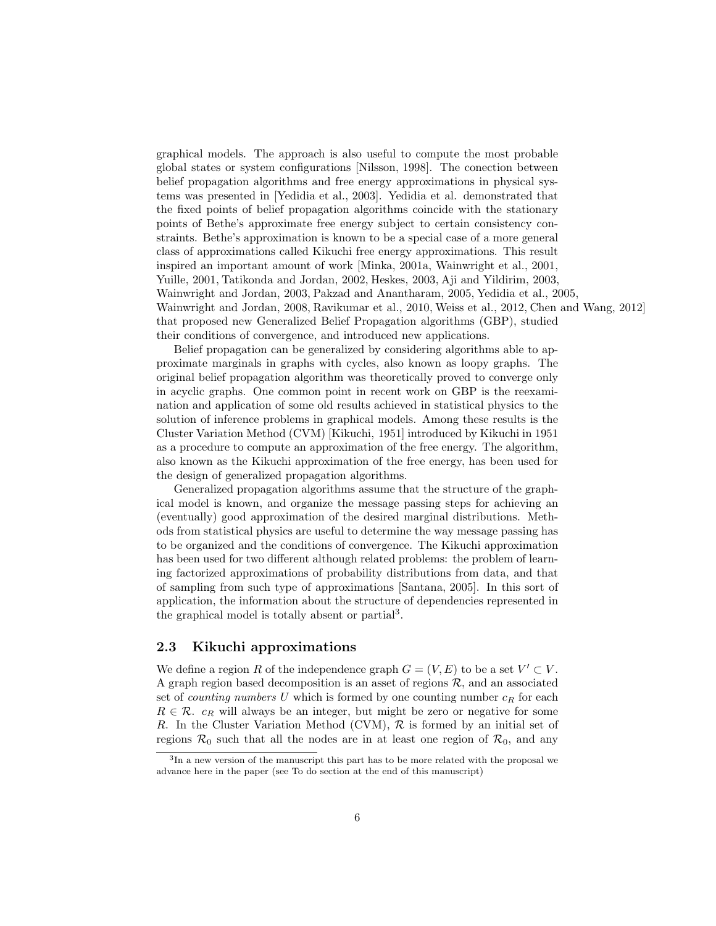graphical models. The approach is also useful to compute the most probable global states or system configurations [Nilsson, 1998]. The conection between belief propagation algorithms and free energy approximations in physical systems was presented in [Yedidia et al., 2003]. Yedidia et al. demonstrated that the fixed points of belief propagation algorithms coincide with the stationary points of Bethe's approximate free energy subject to certain consistency constraints. Bethe's approximation is known to be a special case of a more general class of approximations called Kikuchi free energy approximations. This result inspired an important amount of work [Minka, 2001a, Wainwright et al., 2001, Yuille, 2001, Tatikonda and Jordan, 2002, Heskes, 2003, Aji and Yildirim, 2003, Wainwright and Jordan, 2003, Pakzad and Anantharam, 2005, Yedidia et al., 2005, Wainwright and Jordan, 2008, Ravikumar et al., 2010, Weiss et al., 2012, Chen and Wang, 2012] that proposed new Generalized Belief Propagation algorithms (GBP), studied their conditions of convergence, and introduced new applications.

Belief propagation can be generalized by considering algorithms able to approximate marginals in graphs with cycles, also known as loopy graphs. The original belief propagation algorithm was theoretically proved to converge only in acyclic graphs. One common point in recent work on GBP is the reexamination and application of some old results achieved in statistical physics to the solution of inference problems in graphical models. Among these results is the Cluster Variation Method (CVM) [Kikuchi, 1951] introduced by Kikuchi in 1951 as a procedure to compute an approximation of the free energy. The algorithm, also known as the Kikuchi approximation of the free energy, has been used for the design of generalized propagation algorithms.

Generalized propagation algorithms assume that the structure of the graphical model is known, and organize the message passing steps for achieving an (eventually) good approximation of the desired marginal distributions. Methods from statistical physics are useful to determine the way message passing has to be organized and the conditions of convergence. The Kikuchi approximation has been used for two different although related problems: the problem of learning factorized approximations of probability distributions from data, and that of sampling from such type of approximations [Santana, 2005]. In this sort of application, the information about the structure of dependencies represented in the graphical model is totally absent or partial<sup>3</sup>.

#### 2.3 Kikuchi approximations

We define a region R of the independence graph  $G = (V, E)$  to be a set  $V' \subset V$ . A graph region based decomposition is an asset of regions  $R$ , and an associated set of *counting numbers* U which is formed by one counting number  $c_R$  for each  $R \in \mathcal{R}$ .  $c_R$  will always be an integer, but might be zero or negative for some R. In the Cluster Variation Method (CVM),  $R$  is formed by an initial set of regions  $\mathcal{R}_0$  such that all the nodes are in at least one region of  $\mathcal{R}_0$ , and any

<sup>3</sup> In a new version of the manuscript this part has to be more related with the proposal we advance here in the paper (see To do section at the end of this manuscript)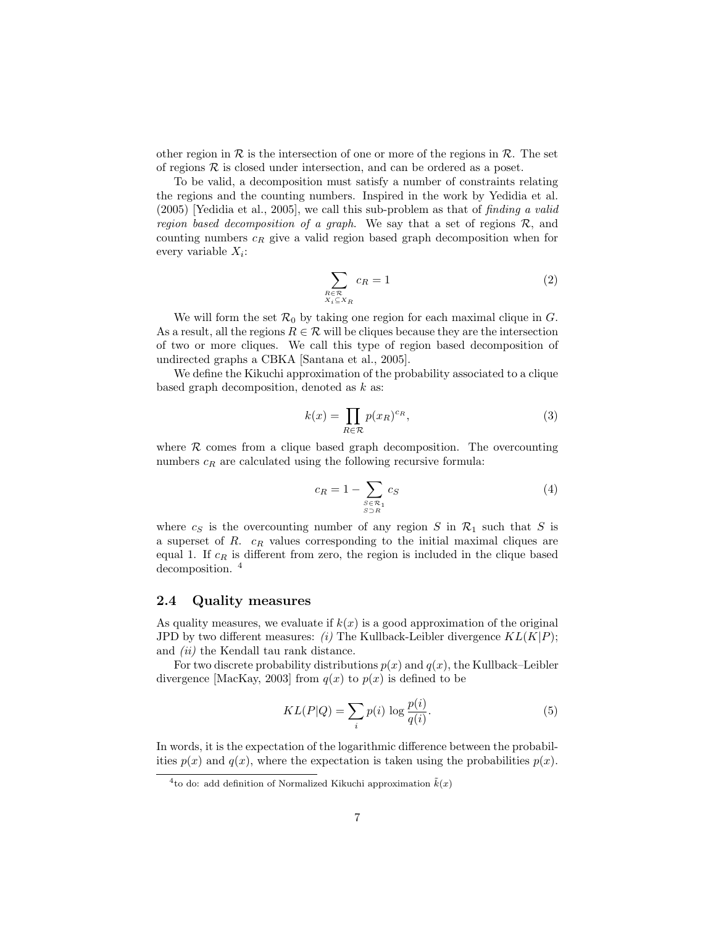other region in  $\mathcal R$  is the intersection of one or more of the regions in  $\mathcal R$ . The set of regions  $R$  is closed under intersection, and can be ordered as a poset.

To be valid, a decomposition must satisfy a number of constraints relating the regions and the counting numbers. Inspired in the work by Yedidia et al.  $(2005)$  [Yedidia et al., 2005], we call this sub-problem as that of *finding a valid* region based decomposition of a graph. We say that a set of regions  $R$ , and counting numbers  $c_R$  give a valid region based graph decomposition when for every variable  $X_i$ :

$$
\sum_{\substack{R \in \mathcal{R} \\ X_i \subseteq X_R}} c_R = 1 \tag{2}
$$

We will form the set  $\mathcal{R}_0$  by taking one region for each maximal clique in G. As a result, all the regions  $R \in \mathcal{R}$  will be cliques because they are the intersection of two or more cliques. We call this type of region based decomposition of undirected graphs a CBKA [Santana et al., 2005].

We define the Kikuchi approximation of the probability associated to a clique based graph decomposition, denoted as  $k$  as:

$$
k(x) = \prod_{R \in \mathcal{R}} p(x_R)^{c_R},\tag{3}
$$

where  $\mathcal R$  comes from a clique based graph decomposition. The overcounting numbers  $c_R$  are calculated using the following recursive formula:

$$
c_R = 1 - \sum_{\substack{S \in \mathcal{R}_1 \\ S \supset R}} c_S \tag{4}
$$

where  $c_S$  is the overcounting number of any region S in  $\mathcal{R}_1$  such that S is a superset of  $R$ .  $c_R$  values corresponding to the initial maximal cliques are equal 1. If  $c_R$  is different from zero, the region is included in the clique based decomposition.<sup>4</sup>

#### 2.4 Quality measures

As quality measures, we evaluate if  $k(x)$  is a good approximation of the original JPD by two different measures: (i) The Kullback-Leibler divergence  $KL(K|P)$ ; and (ii) the Kendall tau rank distance.

For two discrete probability distributions  $p(x)$  and  $q(x)$ , the Kullback–Leibler divergence [MacKay, 2003] from  $q(x)$  to  $p(x)$  is defined to be

$$
KL(P|Q) = \sum_{i} p(i) \log \frac{p(i)}{q(i)}.
$$
\n<sup>(5)</sup>

In words, it is the expectation of the logarithmic difference between the probabilities  $p(x)$  and  $q(x)$ , where the expectation is taken using the probabilities  $p(x)$ .

<sup>&</sup>lt;sup>4</sup> to do: add definition of Normalized Kikuchi approximation  $\tilde{k}(x)$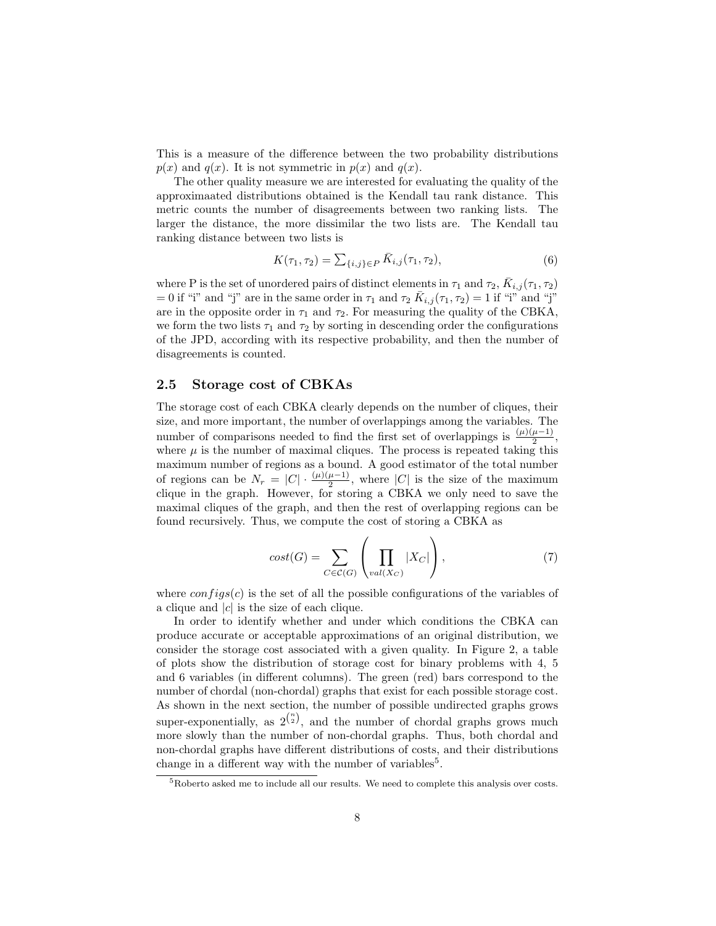This is a measure of the difference between the two probability distributions  $p(x)$  and  $q(x)$ . It is not symmetric in  $p(x)$  and  $q(x)$ .

The other quality measure we are interested for evaluating the quality of the approximaated distributions obtained is the Kendall tau rank distance. This metric counts the number of disagreements between two ranking lists. The larger the distance, the more dissimilar the two lists are. The Kendall tau ranking distance between two lists is

$$
K(\tau_1, \tau_2) = \sum_{\{i,j\} \in P} \bar{K}_{i,j}(\tau_1, \tau_2), \tag{6}
$$

where P is the set of unordered pairs of distinct elements in  $\tau_1$  and  $\tau_2$ ,  $\bar{K}_{i,j}(\tau_1, \tau_2)$ = 0 if "i" and "j" are in the same order in  $\tau_1$  and  $\tau_2$   $\overline{K}_{i,j}(\tau_1, \tau_2) = 1$  if "i" and "j" are in the opposite order in  $\tau_1$  and  $\tau_2$ . For measuring the quality of the CBKA, we form the two lists  $\tau_1$  and  $\tau_2$  by sorting in descending order the configurations of the JPD, according with its respective probability, and then the number of disagreements is counted.

#### 2.5 Storage cost of CBKAs

The storage cost of each CBKA clearly depends on the number of cliques, their size, and more important, the number of overlappings among the variables. The number of comparisons needed to find the first set of overlappings is  $\frac{(\mu)(\mu-1)}{2}$ , where  $\mu$  is the number of maximal cliques. The process is repeated taking this maximum number of regions as a bound. A good estimator of the total number of regions can be  $N_r = |C| \cdot \frac{(\mu)(\mu - 1)}{2}$ , where  $|C|$  is the size of the maximum clique in the graph. However, for storing a CBKA we only need to save the maximal cliques of the graph, and then the rest of overlapping regions can be found recursively. Thus, we compute the cost of storing a CBKA as

$$
cost(G) = \sum_{C \in \mathcal{C}(G)} \left( \prod_{val(X_C)} |X_C| \right),\tag{7}
$$

where  $config(s)$  is the set of all the possible configurations of the variables of a clique and  $|c|$  is the size of each clique.

In order to identify whether and under which conditions the CBKA can produce accurate or acceptable approximations of an original distribution, we consider the storage cost associated with a given quality. In Figure 2, a table of plots show the distribution of storage cost for binary problems with 4, 5 and 6 variables (in different columns). The green (red) bars correspond to the number of chordal (non-chordal) graphs that exist for each possible storage cost. As shown in the next section, the number of possible undirected graphs grows super-exponentially, as  $2^{n \choose 2}$ , and the number of chordal graphs grows much more slowly than the number of non-chordal graphs. Thus, both chordal and non-chordal graphs have different distributions of costs, and their distributions change in a different way with the number of variables<sup>5</sup>.

<sup>5</sup>Roberto asked me to include all our results. We need to complete this analysis over costs.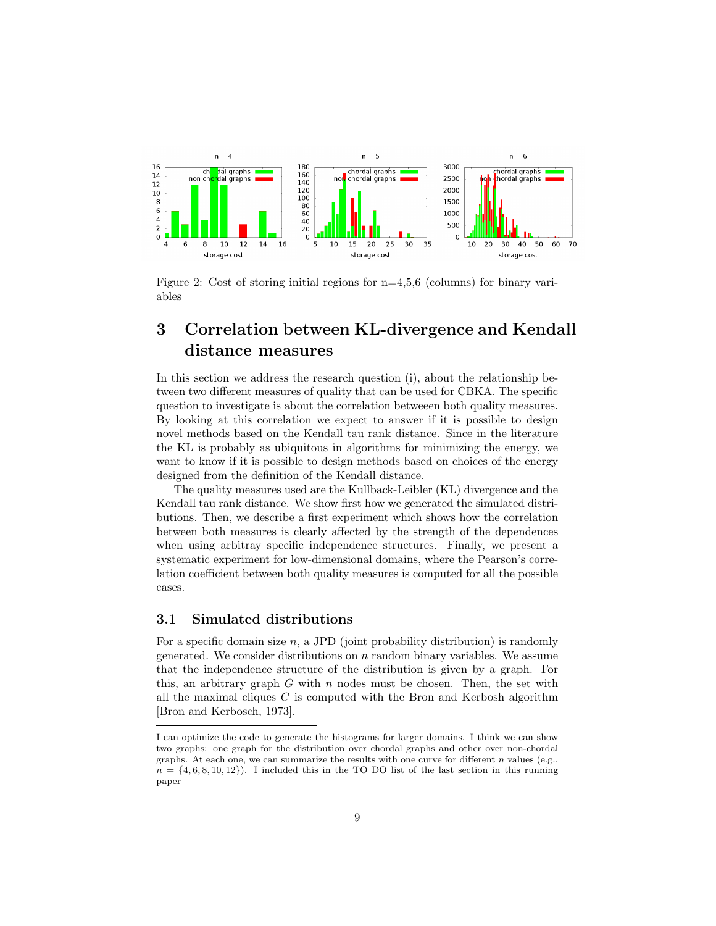

Figure 2: Cost of storing initial regions for n=4,5,6 (columns) for binary variables

# 3 Correlation between KL-divergence and Kendall distance measures

In this section we address the research question (i), about the relationship between two different measures of quality that can be used for CBKA. The specific question to investigate is about the correlation betweeen both quality measures. By looking at this correlation we expect to answer if it is possible to design novel methods based on the Kendall tau rank distance. Since in the literature the KL is probably as ubiquitous in algorithms for minimizing the energy, we want to know if it is possible to design methods based on choices of the energy designed from the definition of the Kendall distance.

The quality measures used are the Kullback-Leibler (KL) divergence and the Kendall tau rank distance. We show first how we generated the simulated distributions. Then, we describe a first experiment which shows how the correlation between both measures is clearly affected by the strength of the dependences when using arbitray specific independence structures. Finally, we present a systematic experiment for low-dimensional domains, where the Pearson's correlation coefficient between both quality measures is computed for all the possible cases.

#### 3.1 Simulated distributions

For a specific domain size  $n$ , a JPD (joint probability distribution) is randomly generated. We consider distributions on  $n$  random binary variables. We assume that the independence structure of the distribution is given by a graph. For this, an arbitrary graph  $G$  with  $n$  nodes must be chosen. Then, the set with all the maximal cliques  $C$  is computed with the Bron and Kerbosh algorithm [Bron and Kerbosch, 1973].

I can optimize the code to generate the histograms for larger domains. I think we can show two graphs: one graph for the distribution over chordal graphs and other over non-chordal graphs. At each one, we can summarize the results with one curve for different  $n$  values (e.g.,  $n = \{4, 6, 8, 10, 12\}$ . I included this in the TO DO list of the last section in this running paper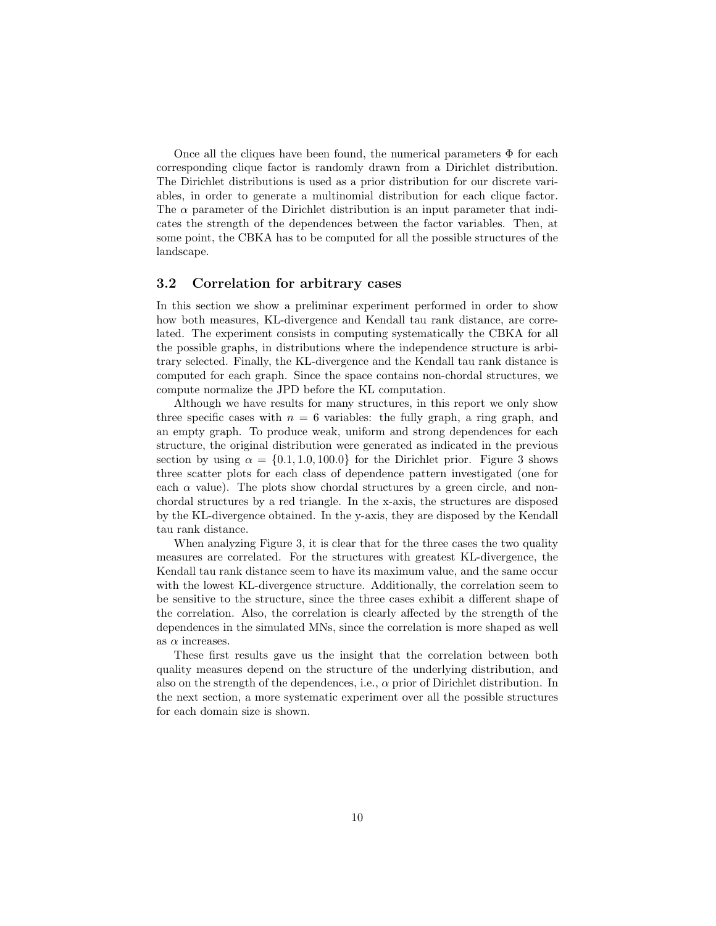Once all the cliques have been found, the numerical parameters  $\Phi$  for each corresponding clique factor is randomly drawn from a Dirichlet distribution. The Dirichlet distributions is used as a prior distribution for our discrete variables, in order to generate a multinomial distribution for each clique factor. The  $\alpha$  parameter of the Dirichlet distribution is an input parameter that indicates the strength of the dependences between the factor variables. Then, at some point, the CBKA has to be computed for all the possible structures of the landscape.

#### 3.2 Correlation for arbitrary cases

In this section we show a preliminar experiment performed in order to show how both measures, KL-divergence and Kendall tau rank distance, are correlated. The experiment consists in computing systematically the CBKA for all the possible graphs, in distributions where the independence structure is arbitrary selected. Finally, the KL-divergence and the Kendall tau rank distance is computed for each graph. Since the space contains non-chordal structures, we compute normalize the JPD before the KL computation.

Although we have results for many structures, in this report we only show three specific cases with  $n = 6$  variables: the fully graph, a ring graph, and an empty graph. To produce weak, uniform and strong dependences for each structure, the original distribution were generated as indicated in the previous section by using  $\alpha = \{0.1, 1.0, 100.0\}$  for the Dirichlet prior. Figure 3 shows three scatter plots for each class of dependence pattern investigated (one for each  $\alpha$  value). The plots show chordal structures by a green circle, and nonchordal structures by a red triangle. In the x-axis, the structures are disposed by the KL-divergence obtained. In the y-axis, they are disposed by the Kendall tau rank distance.

When analyzing Figure 3, it is clear that for the three cases the two quality measures are correlated. For the structures with greatest KL-divergence, the Kendall tau rank distance seem to have its maximum value, and the same occur with the lowest KL-divergence structure. Additionally, the correlation seem to be sensitive to the structure, since the three cases exhibit a different shape of the correlation. Also, the correlation is clearly affected by the strength of the dependences in the simulated MNs, since the correlation is more shaped as well as  $\alpha$  increases.

These first results gave us the insight that the correlation between both quality measures depend on the structure of the underlying distribution, and also on the strength of the dependences, i.e.,  $\alpha$  prior of Dirichlet distribution. In the next section, a more systematic experiment over all the possible structures for each domain size is shown.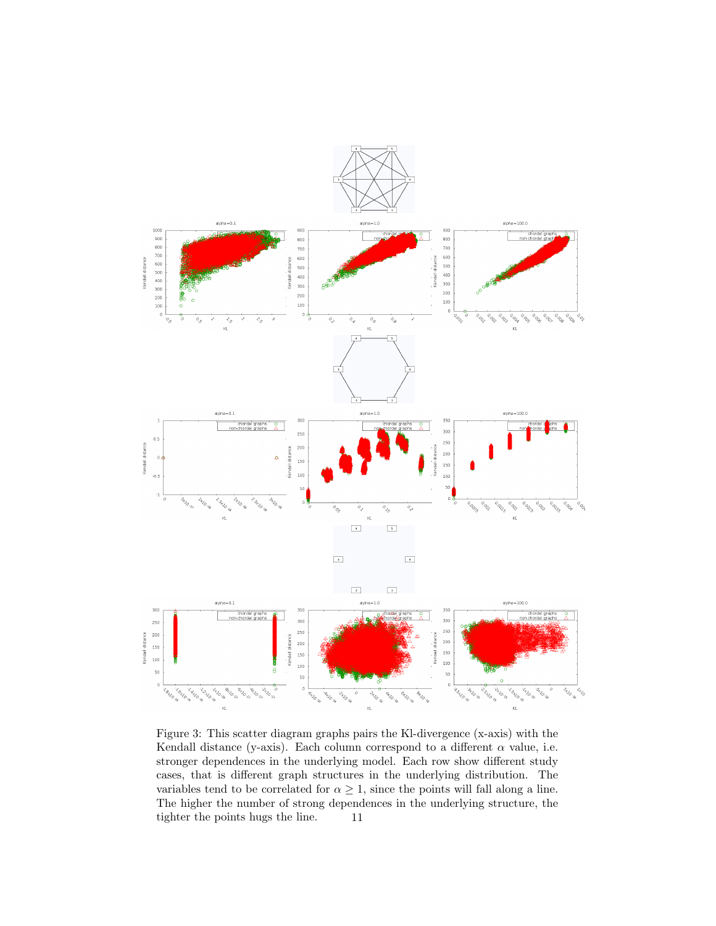

Figure 3: This scatter diagram graphs pairs the Kl-divergence (x-axis) with the Kendall distance (y-axis). Each column correspond to a different  $\alpha$  value, i.e. stronger dependences in the underlying model. Each row show different study cases, that is different graph structures in the underlying distribution. The variables tend to be correlated for  $\alpha \geq 1$ , since the points will fall along a line. The higher the number of strong dependences in the underlying structure, the tighter the points hugs the line. 11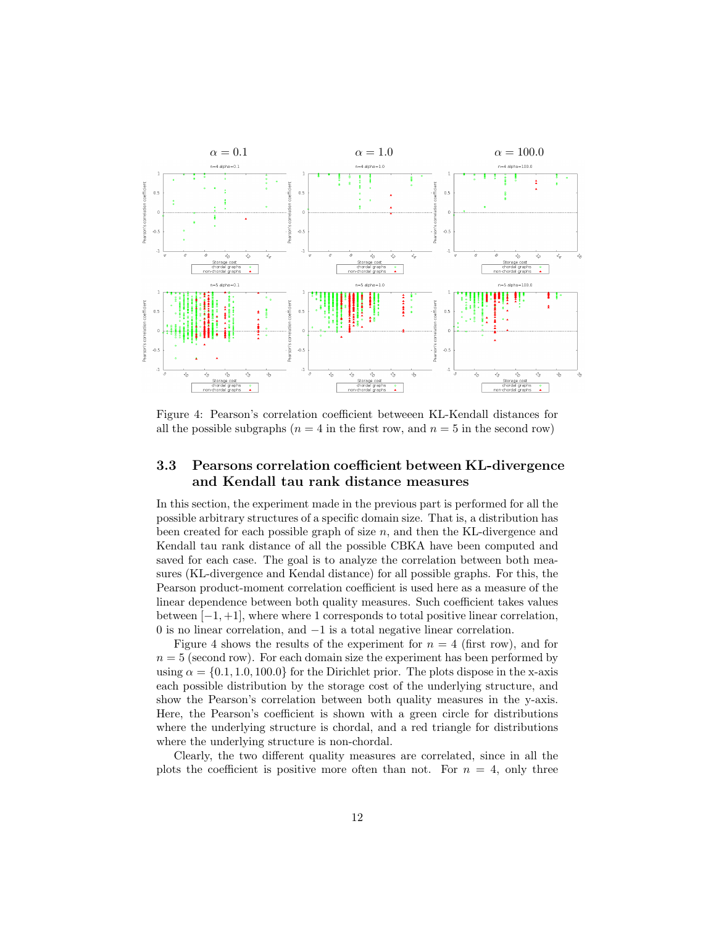

Figure 4: Pearson's correlation coefficient betweeen KL-Kendall distances for all the possible subgraphs ( $n = 4$  in the first row, and  $n = 5$  in the second row)

### 3.3 Pearsons correlation coefficient between KL-divergence and Kendall tau rank distance measures

In this section, the experiment made in the previous part is performed for all the possible arbitrary structures of a specific domain size. That is, a distribution has been created for each possible graph of size  $n$ , and then the KL-divergence and Kendall tau rank distance of all the possible CBKA have been computed and saved for each case. The goal is to analyze the correlation between both measures (KL-divergence and Kendal distance) for all possible graphs. For this, the Pearson product-moment correlation coefficient is used here as a measure of the linear dependence between both quality measures. Such coefficient takes values between  $[-1, +1]$ , where where 1 corresponds to total positive linear correlation, 0 is no linear correlation, and −1 is a total negative linear correlation.

Figure 4 shows the results of the experiment for  $n = 4$  (first row), and for  $n = 5$  (second row). For each domain size the experiment has been performed by using  $\alpha = \{0.1, 1.0, 100.0\}$  for the Dirichlet prior. The plots dispose in the x-axis each possible distribution by the storage cost of the underlying structure, and show the Pearson's correlation between both quality measures in the y-axis. Here, the Pearson's coefficient is shown with a green circle for distributions where the underlying structure is chordal, and a red triangle for distributions where the underlying structure is non-chordal.

Clearly, the two different quality measures are correlated, since in all the plots the coefficient is positive more often than not. For  $n = 4$ , only three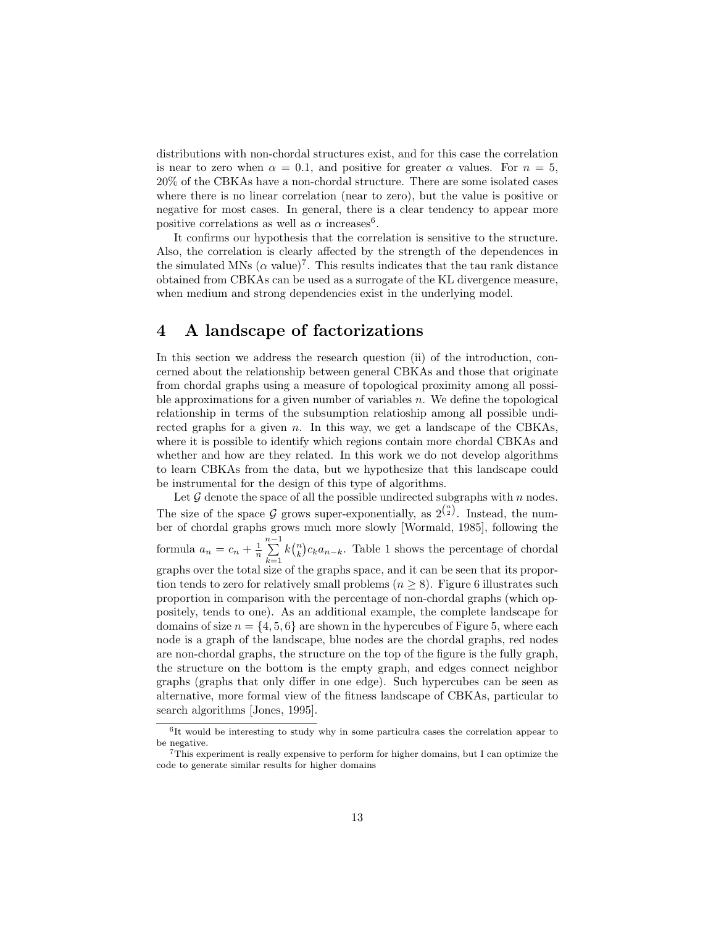distributions with non-chordal structures exist, and for this case the correlation is near to zero when  $\alpha = 0.1$ , and positive for greater  $\alpha$  values. For  $n = 5$ , 20% of the CBKAs have a non-chordal structure. There are some isolated cases where there is no linear correlation (near to zero), but the value is positive or negative for most cases. In general, there is a clear tendency to appear more positive correlations as well as  $\alpha$  increases<sup>6</sup>.

It confirms our hypothesis that the correlation is sensitive to the structure. Also, the correlation is clearly affected by the strength of the dependences in the simulated MNs  $(\alpha \text{ value})^7$ . This results indicates that the tau rank distance obtained from CBKAs can be used as a surrogate of the KL divergence measure, when medium and strong dependencies exist in the underlying model.

# 4 A landscape of factorizations

In this section we address the research question (ii) of the introduction, concerned about the relationship between general CBKAs and those that originate from chordal graphs using a measure of topological proximity among all possible approximations for a given number of variables  $n$ . We define the topological relationship in terms of the subsumption relatioship among all possible undirected graphs for a given n. In this way, we get a landscape of the CBKAs, where it is possible to identify which regions contain more chordal CBKAs and whether and how are they related. In this work we do not develop algorithms to learn CBKAs from the data, but we hypothesize that this landscape could be instrumental for the design of this type of algorithms.

Let  $G$  denote the space of all the possible undirected subgraphs with n nodes. The size of the space G grows super-exponentially, as  $2^{(\frac{n}{2})}$ . Instead, the number of chordal graphs grows much more slowly [Wormald, 1985], following the formula  $a_n = c_n + \frac{1}{n} \sum_{n=1}^{n-1}$  $k=1$  $k\binom{n}{k}c_ka_{n-k}$ . Table 1 shows the percentage of chordal graphs over the total size of the graphs space, and it can be seen that its proportion tends to zero for relatively small problems ( $n \geq 8$ ). Figure 6 illustrates such proportion in comparison with the percentage of non-chordal graphs (which oppositely, tends to one). As an additional example, the complete landscape for domains of size  $n = \{4, 5, 6\}$  are shown in the hypercubes of Figure 5, where each node is a graph of the landscape, blue nodes are the chordal graphs, red nodes are non-chordal graphs, the structure on the top of the figure is the fully graph, the structure on the bottom is the empty graph, and edges connect neighbor graphs (graphs that only differ in one edge). Such hypercubes can be seen as alternative, more formal view of the fitness landscape of CBKAs, particular to search algorithms [Jones, 1995].

<sup>&</sup>lt;sup>6</sup>It would be interesting to study why in some particulra cases the correlation appear to be negative.

 $^{7}$ This experiment is really expensive to perform for higher domains, but I can optimize the code to generate similar results for higher domains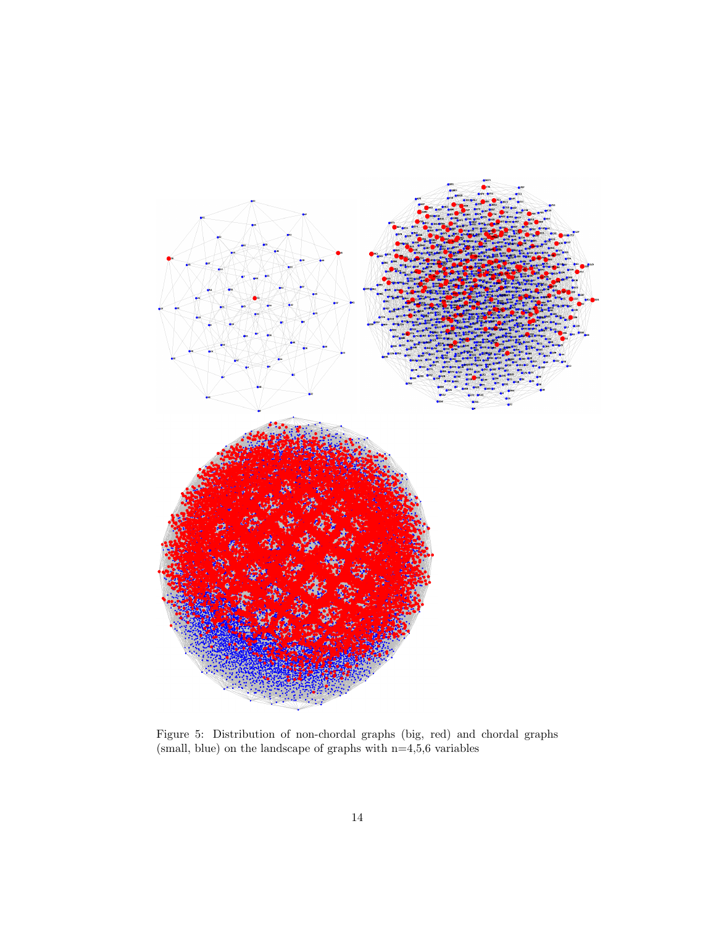

Figure 5: Distribution of non-chordal graphs (big, red) and chordal graphs (small, blue) on the landscape of graphs with  $n=4,5,6$  variables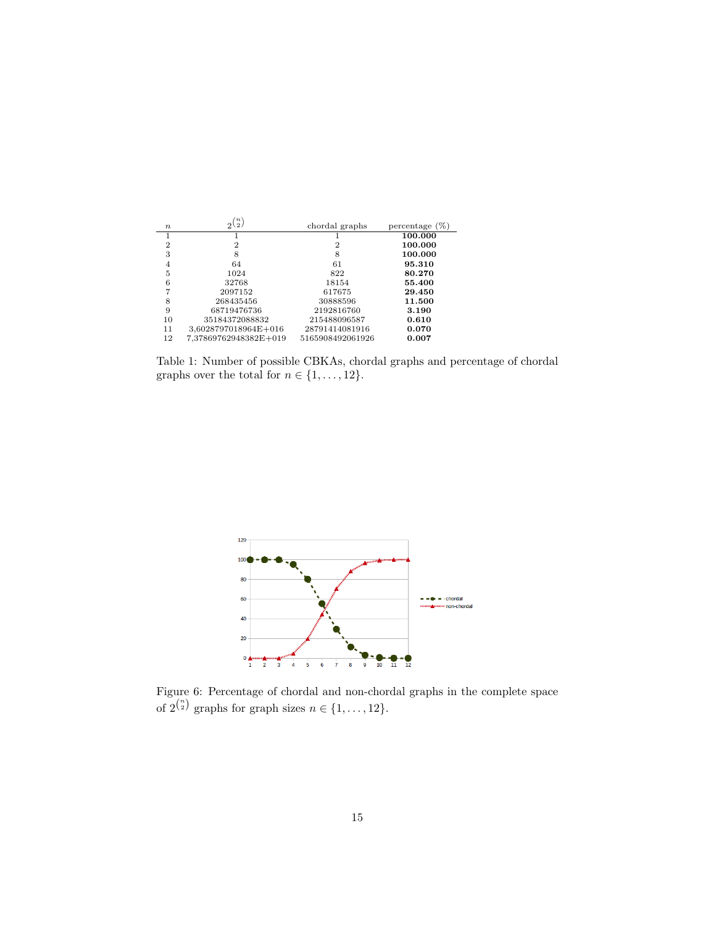| $\boldsymbol{n}$ | $\langle n \rangle$<br>\ 2 , | chordal graphs   | percentage $(\%)$ |
|------------------|------------------------------|------------------|-------------------|
| 1                |                              |                  | 100.000           |
|                  |                              |                  |                   |
| $\overline{2}$   | 2                            | 2                | 100.000           |
| 3                | 8                            | 8                | 100.000           |
| 4                | 64                           | 61               | 95.310            |
| 5                | 1024                         | 822              | 80.270            |
| 6                | 32768                        | 18154            | 55.400            |
|                  | 2097152                      | 617675           | 29.450            |
| 8                | 268435456                    | 30888596         | 11.500            |
| 9                | 68719476736                  | 2192816760       | 3.190             |
| 10               | 35184372088832               | 215488096587     | 0.610             |
| 11               | 3,6028797018964E+016         | 28791414081916   | 0.070             |
| 12               | 7.37869762948382E+019        | 5165908492061926 | 0.007             |

Table 1: Number of possible CBKAs, chordal graphs and percentage of chordal graphs over the total for  $n \in \{1, \ldots, 12\}$ .



Figure 6: Percentage of chordal and non-chordal graphs in the complete space of  $2^{\binom{n}{2}}$  graphs for graph sizes  $n \in \{1, \ldots, 12\}$ .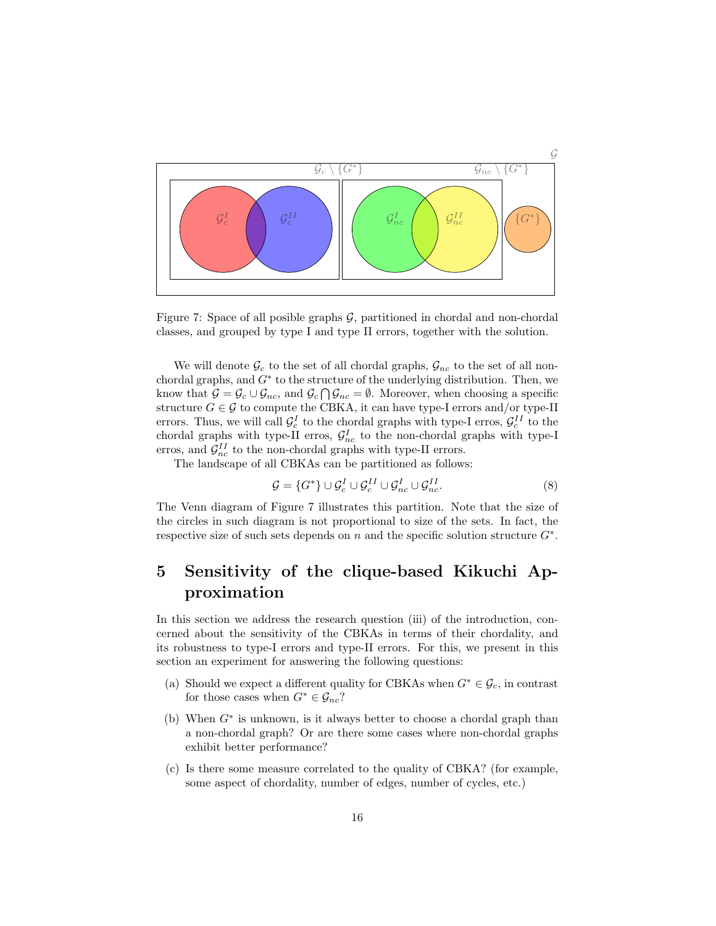

Figure 7: Space of all posible graphs  $G$ , partitioned in chordal and non-chordal classes, and grouped by type I and type II errors, together with the solution.

We will denote  $\mathcal{G}_c$  to the set of all chordal graphs,  $\mathcal{G}_{nc}$  to the set of all nonchordal graphs, and  $G^*$  to the structure of the underlying distribution. Then, we know that  $\mathcal{G} = \mathcal{G}_c \cup \mathcal{G}_{nc}$ , and  $\mathcal{G}_c \cap \mathcal{G}_{nc} = \emptyset$ . Moreover, when choosing a specific structure  $G \in \mathcal{G}$  to compute the CBKA, it can have type-I errors and/or type-II errors. Thus, we will call  $\mathcal{G}_c^I$  to the chordal graphs with type-I erros,  $\mathcal{G}_c^{II}$  to the errors. Thus, we will can  $g_c$  to the chordal graphs with type-I erros,  $g_c$  to the chordal graphs with type-II erros,  $g_{nc}$  to the non-chordal graphs with type-I erros, and  $\mathcal{G}_{nc}^{II}$  to the non-chordal graphs with type-II errors.

The landscape of all CBKAs can be partitioned as follows:

$$
\mathcal{G} = \{G^*\} \cup \mathcal{G}_c^I \cup \mathcal{G}_c^{II} \cup \mathcal{G}_{nc}^I \cup \mathcal{G}_{nc}^{II}.\tag{8}
$$

The Venn diagram of Figure 7 illustrates this partition. Note that the size of the circles in such diagram is not proportional to size of the sets. In fact, the respective size of such sets depends on  $n$  and the specific solution structure  $G^*$ .

# 5 Sensitivity of the clique-based Kikuchi Approximation

In this section we address the research question (iii) of the introduction, concerned about the sensitivity of the CBKAs in terms of their chordality, and its robustness to type-I errors and type-II errors. For this, we present in this section an experiment for answering the following questions:

- (a) Should we expect a different quality for CBKAs when  $G^* \in \mathcal{G}_c$ , in contrast for those cases when  $G^* \in \mathcal{G}_{nc}$ ?
- (b) When G<sup>∗</sup> is unknown, is it always better to choose a chordal graph than a non-chordal graph? Or are there some cases where non-chordal graphs exhibit better performance?
- (c) Is there some measure correlated to the quality of CBKA? (for example, some aspect of chordality, number of edges, number of cycles, etc.)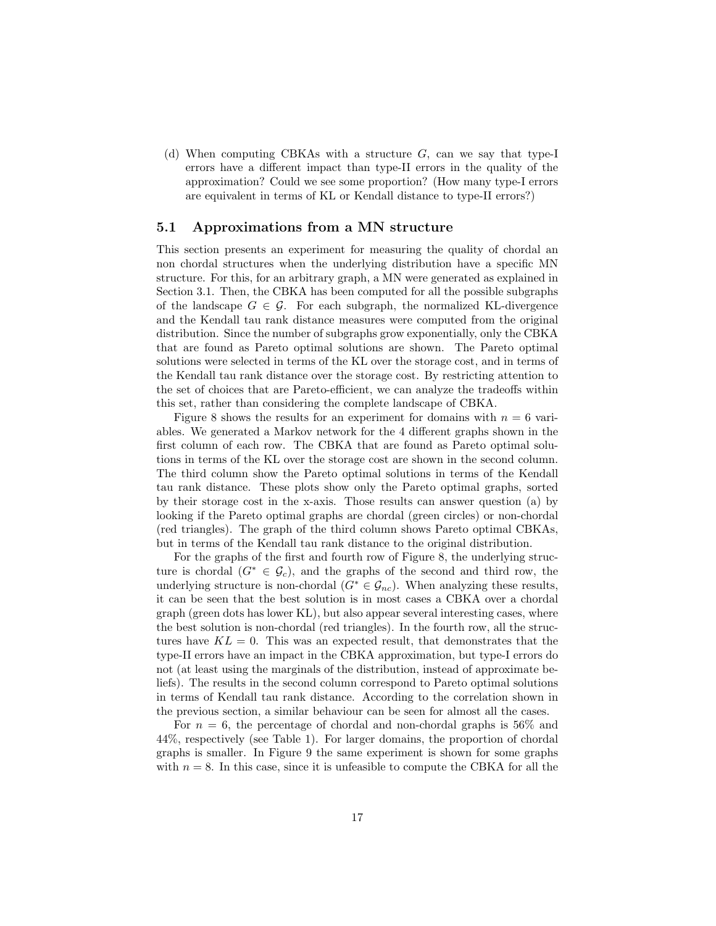(d) When computing CBKAs with a structure G, can we say that type-I errors have a different impact than type-II errors in the quality of the approximation? Could we see some proportion? (How many type-I errors are equivalent in terms of KL or Kendall distance to type-II errors?)

#### 5.1 Approximations from a MN structure

This section presents an experiment for measuring the quality of chordal an non chordal structures when the underlying distribution have a specific MN structure. For this, for an arbitrary graph, a MN were generated as explained in Section 3.1. Then, the CBKA has been computed for all the possible subgraphs of the landscape  $G \in \mathcal{G}$ . For each subgraph, the normalized KL-divergence and the Kendall tau rank distance measures were computed from the original distribution. Since the number of subgraphs grow exponentially, only the CBKA that are found as Pareto optimal solutions are shown. The Pareto optimal solutions were selected in terms of the KL over the storage cost, and in terms of the Kendall tau rank distance over the storage cost. By restricting attention to the set of choices that are Pareto-efficient, we can analyze the tradeoffs within this set, rather than considering the complete landscape of CBKA.

Figure 8 shows the results for an experiment for domains with  $n = 6$  variables. We generated a Markov network for the 4 different graphs shown in the first column of each row. The CBKA that are found as Pareto optimal solutions in terms of the KL over the storage cost are shown in the second column. The third column show the Pareto optimal solutions in terms of the Kendall tau rank distance. These plots show only the Pareto optimal graphs, sorted by their storage cost in the x-axis. Those results can answer question (a) by looking if the Pareto optimal graphs are chordal (green circles) or non-chordal (red triangles). The graph of the third column shows Pareto optimal CBKAs, but in terms of the Kendall tau rank distance to the original distribution.

For the graphs of the first and fourth row of Figure 8, the underlying structure is chordal  $(G^* \in \mathcal{G}_c)$ , and the graphs of the second and third row, the underlying structure is non-chordal  $(G^* \in \mathcal{G}_{nc})$ . When analyzing these results, it can be seen that the best solution is in most cases a CBKA over a chordal graph (green dots has lower KL), but also appear several interesting cases, where the best solution is non-chordal (red triangles). In the fourth row, all the structures have  $KL = 0$ . This was an expected result, that demonstrates that the type-II errors have an impact in the CBKA approximation, but type-I errors do not (at least using the marginals of the distribution, instead of approximate beliefs). The results in the second column correspond to Pareto optimal solutions in terms of Kendall tau rank distance. According to the correlation shown in the previous section, a similar behaviour can be seen for almost all the cases.

For  $n = 6$ , the percentage of chordal and non-chordal graphs is 56% and 44%, respectively (see Table 1). For larger domains, the proportion of chordal graphs is smaller. In Figure 9 the same experiment is shown for some graphs with  $n = 8$ . In this case, since it is unfeasible to compute the CBKA for all the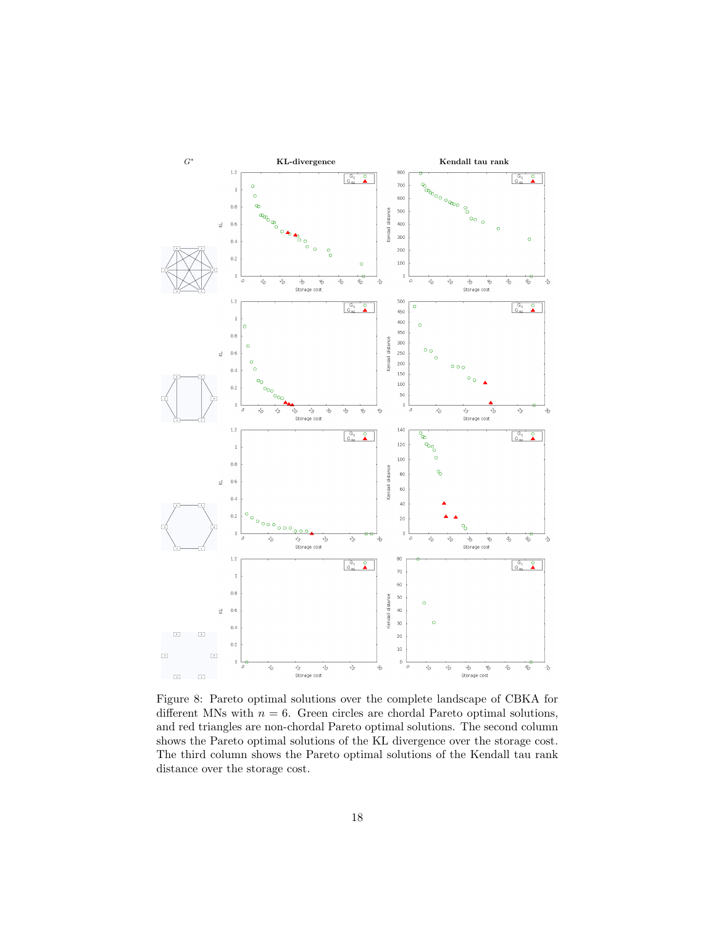

Figure 8: Pareto optimal solutions over the complete landscape of CBKA for different MNs with  $n = 6$ . Green circles are chordal Pareto optimal solutions, and red triangles are non-chordal Pareto optimal solutions. The second column shows the Pareto optimal solutions of the KL divergence over the storage cost. The third column shows the Pareto optimal solutions of the Kendall tau rank distance over the storage cost.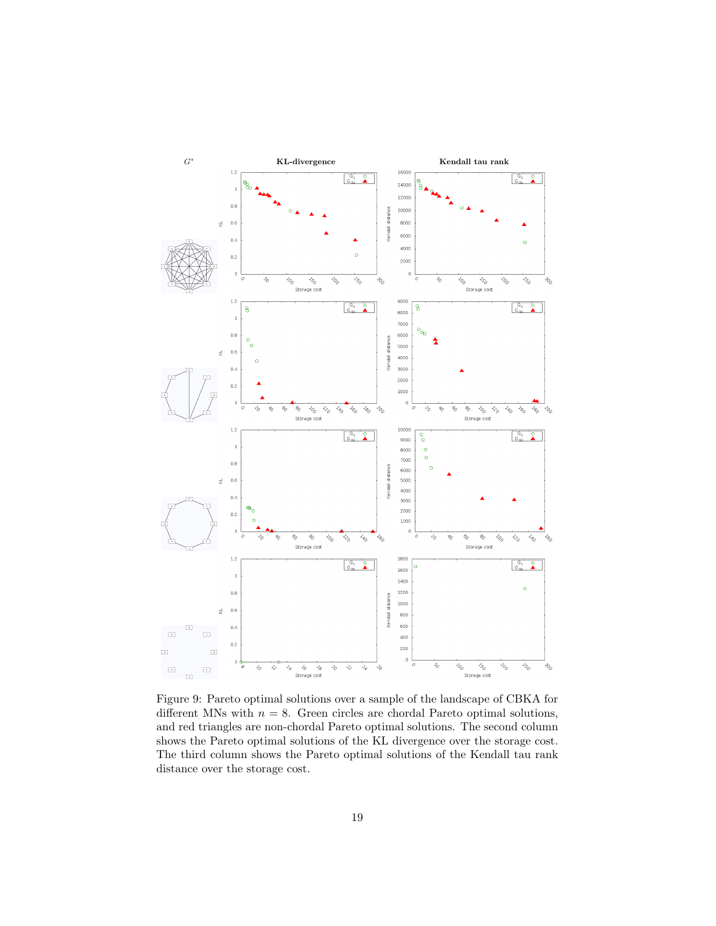

Figure 9: Pareto optimal solutions over a sample of the landscape of CBKA for different MNs with  $n = 8$ . Green circles are chordal Pareto optimal solutions, and red triangles are non-chordal Pareto optimal solutions. The second column shows the Pareto optimal solutions of the KL divergence over the storage cost. The third column shows the Pareto optimal solutions of the Kendall tau rank distance over the storage cost.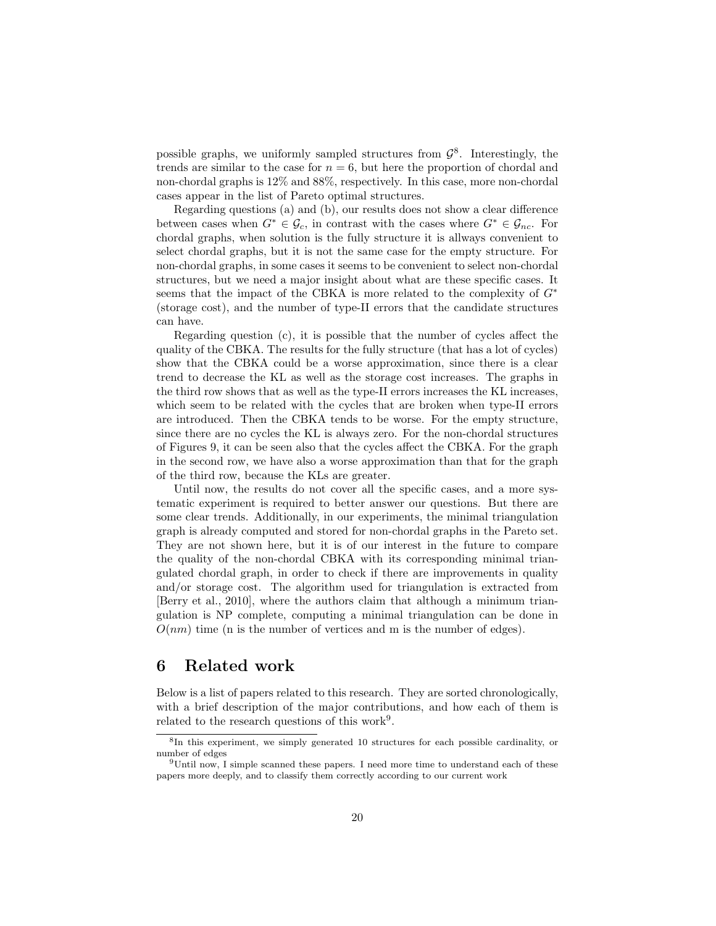possible graphs, we uniformly sampled structures from  $\mathcal{G}^8$ . Interestingly, the trends are similar to the case for  $n = 6$ , but here the proportion of chordal and non-chordal graphs is 12% and 88%, respectively. In this case, more non-chordal cases appear in the list of Pareto optimal structures.

Regarding questions (a) and (b), our results does not show a clear difference between cases when  $G^* \in \mathcal{G}_c$ , in contrast with the cases where  $G^* \in \mathcal{G}_{nc}$ . For chordal graphs, when solution is the fully structure it is allways convenient to select chordal graphs, but it is not the same case for the empty structure. For non-chordal graphs, in some cases it seems to be convenient to select non-chordal structures, but we need a major insight about what are these specific cases. It seems that the impact of the CBKA is more related to the complexity of  $G^*$ (storage cost), and the number of type-II errors that the candidate structures can have.

Regarding question (c), it is possible that the number of cycles affect the quality of the CBKA. The results for the fully structure (that has a lot of cycles) show that the CBKA could be a worse approximation, since there is a clear trend to decrease the KL as well as the storage cost increases. The graphs in the third row shows that as well as the type-II errors increases the KL increases, which seem to be related with the cycles that are broken when type-II errors are introduced. Then the CBKA tends to be worse. For the empty structure, since there are no cycles the KL is always zero. For the non-chordal structures of Figures 9, it can be seen also that the cycles affect the CBKA. For the graph in the second row, we have also a worse approximation than that for the graph of the third row, because the KLs are greater.

Until now, the results do not cover all the specific cases, and a more systematic experiment is required to better answer our questions. But there are some clear trends. Additionally, in our experiments, the minimal triangulation graph is already computed and stored for non-chordal graphs in the Pareto set. They are not shown here, but it is of our interest in the future to compare the quality of the non-chordal CBKA with its corresponding minimal triangulated chordal graph, in order to check if there are improvements in quality and/or storage cost. The algorithm used for triangulation is extracted from [Berry et al., 2010], where the authors claim that although a minimum triangulation is NP complete, computing a minimal triangulation can be done in  $O(nm)$  time (n is the number of vertices and m is the number of edges).

### 6 Related work

Below is a list of papers related to this research. They are sorted chronologically, with a brief description of the major contributions, and how each of them is related to the research questions of this work<sup>9</sup>.

<sup>&</sup>lt;sup>8</sup>In this experiment, we simply generated 10 structures for each possible cardinality, or number of edges

<sup>9</sup>Until now, I simple scanned these papers. I need more time to understand each of these papers more deeply, and to classify them correctly according to our current work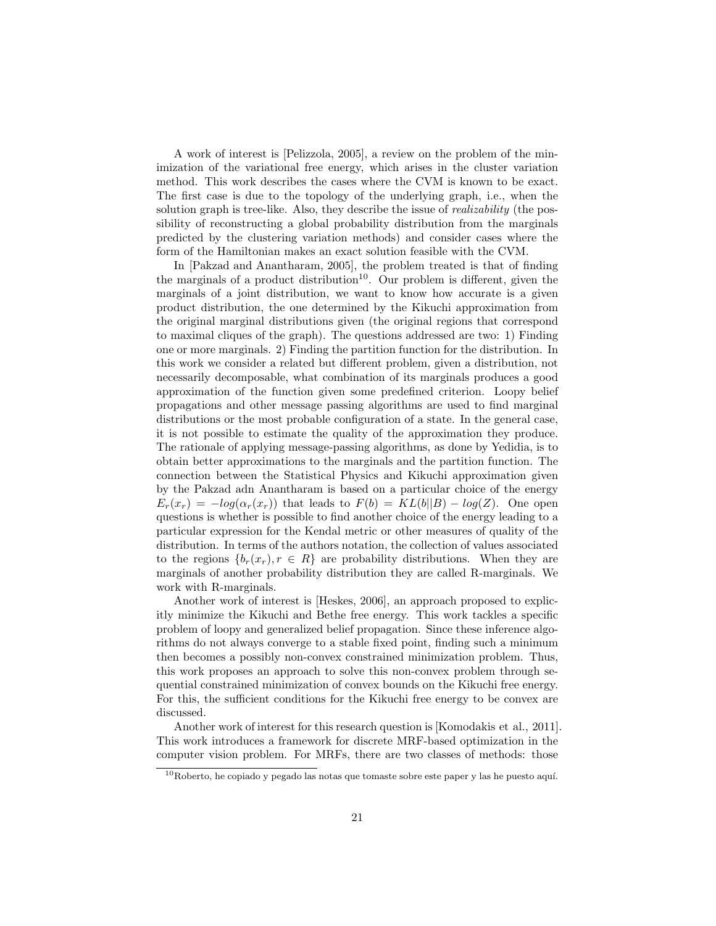A work of interest is [Pelizzola, 2005], a review on the problem of the minimization of the variational free energy, which arises in the cluster variation method. This work describes the cases where the CVM is known to be exact. The first case is due to the topology of the underlying graph, i.e., when the solution graph is tree-like. Also, they describe the issue of *realizability* (the possibility of reconstructing a global probability distribution from the marginals predicted by the clustering variation methods) and consider cases where the form of the Hamiltonian makes an exact solution feasible with the CVM.

In [Pakzad and Anantharam, 2005], the problem treated is that of finding the marginals of a product distribution<sup>10</sup>. Our problem is different, given the marginals of a joint distribution, we want to know how accurate is a given product distribution, the one determined by the Kikuchi approximation from the original marginal distributions given (the original regions that correspond to maximal cliques of the graph). The questions addressed are two: 1) Finding one or more marginals. 2) Finding the partition function for the distribution. In this work we consider a related but different problem, given a distribution, not necessarily decomposable, what combination of its marginals produces a good approximation of the function given some predefined criterion. Loopy belief propagations and other message passing algorithms are used to find marginal distributions or the most probable configuration of a state. In the general case, it is not possible to estimate the quality of the approximation they produce. The rationale of applying message-passing algorithms, as done by Yedidia, is to obtain better approximations to the marginals and the partition function. The connection between the Statistical Physics and Kikuchi approximation given by the Pakzad adn Anantharam is based on a particular choice of the energy  $E_r(x_r) = -log(\alpha_r(x_r))$  that leads to  $F(b) = KL(b||B) - log(Z)$ . One open questions is whether is possible to find another choice of the energy leading to a particular expression for the Kendal metric or other measures of quality of the distribution. In terms of the authors notation, the collection of values associated to the regions  $\{b_r(x_r), r \in R\}$  are probability distributions. When they are marginals of another probability distribution they are called R-marginals. We work with R-marginals.

Another work of interest is [Heskes, 2006], an approach proposed to explicitly minimize the Kikuchi and Bethe free energy. This work tackles a specific problem of loopy and generalized belief propagation. Since these inference algorithms do not always converge to a stable fixed point, finding such a minimum then becomes a possibly non-convex constrained minimization problem. Thus, this work proposes an approach to solve this non-convex problem through sequential constrained minimization of convex bounds on the Kikuchi free energy. For this, the sufficient conditions for the Kikuchi free energy to be convex are discussed.

Another work of interest for this research question is [Komodakis et al., 2011]. This work introduces a framework for discrete MRF-based optimization in the computer vision problem. For MRFs, there are two classes of methods: those

 $^{10}\rm{Roberto},$  he copiado y pegado las notas que tomaste sobre este paper y las he puesto aquí.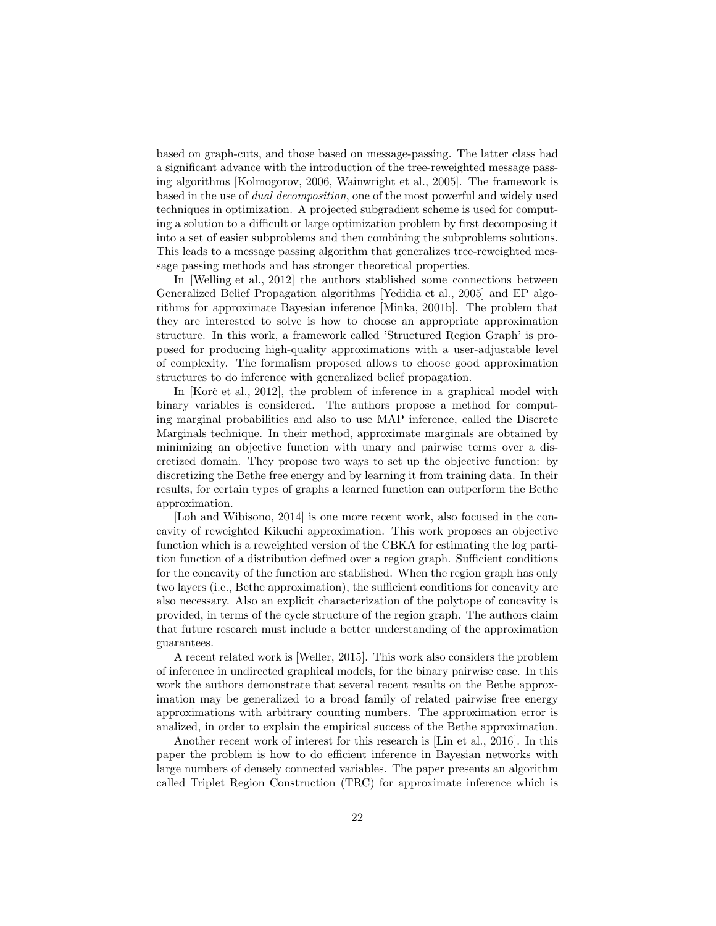based on graph-cuts, and those based on message-passing. The latter class had a significant advance with the introduction of the tree-reweighted message passing algorithms [Kolmogorov, 2006, Wainwright et al., 2005]. The framework is based in the use of dual decomposition, one of the most powerful and widely used techniques in optimization. A projected subgradient scheme is used for computing a solution to a difficult or large optimization problem by first decomposing it into a set of easier subproblems and then combining the subproblems solutions. This leads to a message passing algorithm that generalizes tree-reweighted message passing methods and has stronger theoretical properties.

In [Welling et al., 2012] the authors stablished some connections between Generalized Belief Propagation algorithms [Yedidia et al., 2005] and EP algorithms for approximate Bayesian inference [Minka, 2001b]. The problem that they are interested to solve is how to choose an appropriate approximation structure. In this work, a framework called 'Structured Region Graph' is proposed for producing high-quality approximations with a user-adjustable level of complexity. The formalism proposed allows to choose good approximation structures to do inference with generalized belief propagation.

In  $[Kor\check{c}$  et al., 2012, the problem of inference in a graphical model with binary variables is considered. The authors propose a method for computing marginal probabilities and also to use MAP inference, called the Discrete Marginals technique. In their method, approximate marginals are obtained by minimizing an objective function with unary and pairwise terms over a discretized domain. They propose two ways to set up the objective function: by discretizing the Bethe free energy and by learning it from training data. In their results, for certain types of graphs a learned function can outperform the Bethe approximation.

[Loh and Wibisono, 2014] is one more recent work, also focused in the concavity of reweighted Kikuchi approximation. This work proposes an objective function which is a reweighted version of the CBKA for estimating the log partition function of a distribution defined over a region graph. Sufficient conditions for the concavity of the function are stablished. When the region graph has only two layers (i.e., Bethe approximation), the sufficient conditions for concavity are also necessary. Also an explicit characterization of the polytope of concavity is provided, in terms of the cycle structure of the region graph. The authors claim that future research must include a better understanding of the approximation guarantees.

A recent related work is [Weller, 2015]. This work also considers the problem of inference in undirected graphical models, for the binary pairwise case. In this work the authors demonstrate that several recent results on the Bethe approximation may be generalized to a broad family of related pairwise free energy approximations with arbitrary counting numbers. The approximation error is analized, in order to explain the empirical success of the Bethe approximation.

Another recent work of interest for this research is [Lin et al., 2016]. In this paper the problem is how to do efficient inference in Bayesian networks with large numbers of densely connected variables. The paper presents an algorithm called Triplet Region Construction (TRC) for approximate inference which is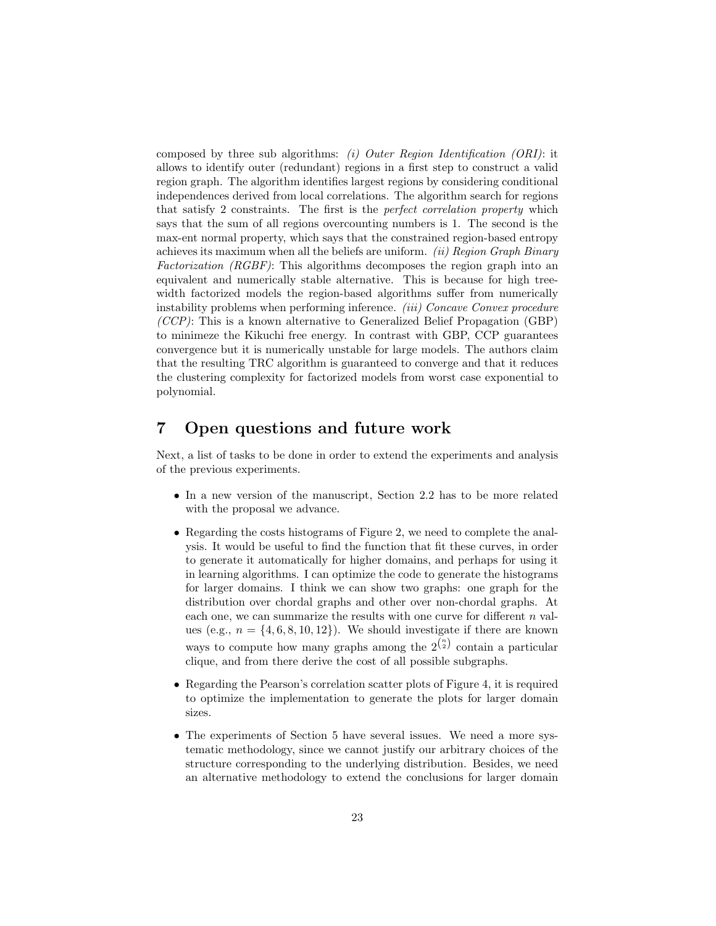composed by three sub algorithms: (i) Outer Region Identification (ORI): it allows to identify outer (redundant) regions in a first step to construct a valid region graph. The algorithm identifies largest regions by considering conditional independences derived from local correlations. The algorithm search for regions that satisfy 2 constraints. The first is the perfect correlation property which says that the sum of all regions overcounting numbers is 1. The second is the max-ent normal property, which says that the constrained region-based entropy achieves its maximum when all the beliefs are uniform. (ii) Region Graph Binary Factorization (RGBF): This algorithms decomposes the region graph into an equivalent and numerically stable alternative. This is because for high treewidth factorized models the region-based algorithms suffer from numerically instability problems when performing inference. *(iii) Concave Convex procedure* (CCP): This is a known alternative to Generalized Belief Propagation (GBP) to minimeze the Kikuchi free energy. In contrast with GBP, CCP guarantees convergence but it is numerically unstable for large models. The authors claim that the resulting TRC algorithm is guaranteed to converge and that it reduces the clustering complexity for factorized models from worst case exponential to polynomial.

# 7 Open questions and future work

Next, a list of tasks to be done in order to extend the experiments and analysis of the previous experiments.

- In a new version of the manuscript, Section 2.2 has to be more related with the proposal we advance.
- Regarding the costs histograms of Figure 2, we need to complete the analysis. It would be useful to find the function that fit these curves, in order to generate it automatically for higher domains, and perhaps for using it in learning algorithms. I can optimize the code to generate the histograms for larger domains. I think we can show two graphs: one graph for the distribution over chordal graphs and other over non-chordal graphs. At each one, we can summarize the results with one curve for different  $n$  values (e.g.,  $n = \{4, 6, 8, 10, 12\}$ ). We should investigate if there are known ways to compute how many graphs among the  $2^{n \choose 2}$  contain a particular clique, and from there derive the cost of all possible subgraphs.
- Regarding the Pearson's correlation scatter plots of Figure 4, it is required to optimize the implementation to generate the plots for larger domain sizes.
- The experiments of Section 5 have several issues. We need a more systematic methodology, since we cannot justify our arbitrary choices of the structure corresponding to the underlying distribution. Besides, we need an alternative methodology to extend the conclusions for larger domain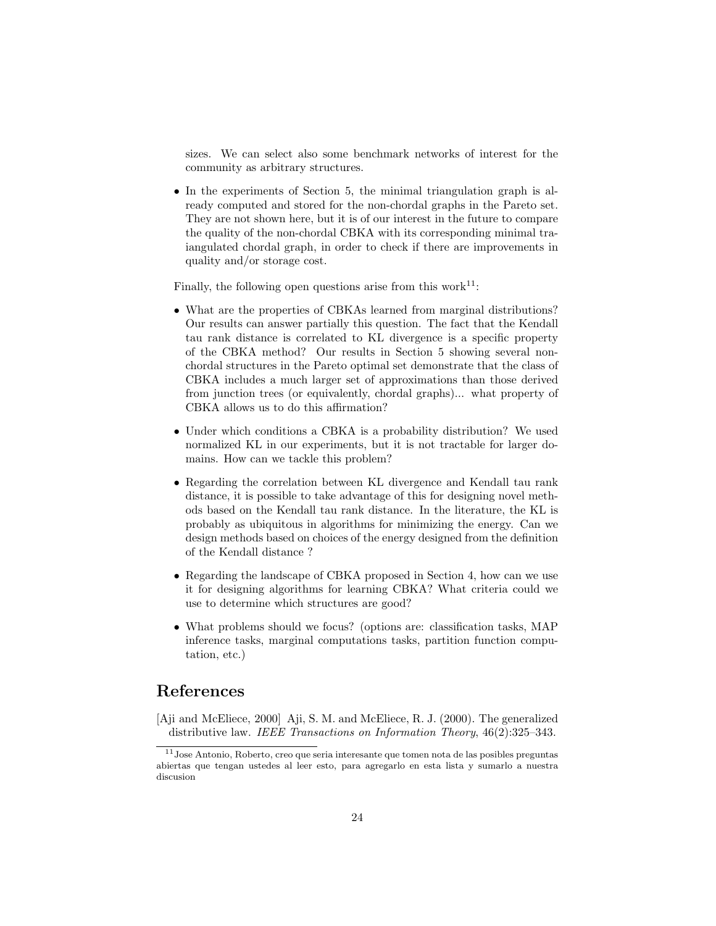sizes. We can select also some benchmark networks of interest for the community as arbitrary structures.

• In the experiments of Section 5, the minimal triangulation graph is already computed and stored for the non-chordal graphs in the Pareto set. They are not shown here, but it is of our interest in the future to compare the quality of the non-chordal CBKA with its corresponding minimal traiangulated chordal graph, in order to check if there are improvements in quality and/or storage cost.

Finally, the following open questions arise from this work $^{11}$ :

- What are the properties of CBKAs learned from marginal distributions? Our results can answer partially this question. The fact that the Kendall tau rank distance is correlated to KL divergence is a specific property of the CBKA method? Our results in Section 5 showing several nonchordal structures in the Pareto optimal set demonstrate that the class of CBKA includes a much larger set of approximations than those derived from junction trees (or equivalently, chordal graphs)... what property of CBKA allows us to do this affirmation?
- Under which conditions a CBKA is a probability distribution? We used normalized KL in our experiments, but it is not tractable for larger domains. How can we tackle this problem?
- Regarding the correlation between KL divergence and Kendall tau rank distance, it is possible to take advantage of this for designing novel methods based on the Kendall tau rank distance. In the literature, the KL is probably as ubiquitous in algorithms for minimizing the energy. Can we design methods based on choices of the energy designed from the definition of the Kendall distance ?
- Regarding the landscape of CBKA proposed in Section 4, how can we use it for designing algorithms for learning CBKA? What criteria could we use to determine which structures are good?
- What problems should we focus? (options are: classification tasks, MAP inference tasks, marginal computations tasks, partition function computation, etc.)

# References

[Aji and McEliece, 2000] Aji, S. M. and McEliece, R. J. (2000). The generalized distributive law. IEEE Transactions on Information Theory, 46(2):325-343.

<sup>11</sup>Jose Antonio, Roberto, creo que seria interesante que tomen nota de las posibles preguntas abiertas que tengan ustedes al leer esto, para agregarlo en esta lista y sumarlo a nuestra discusion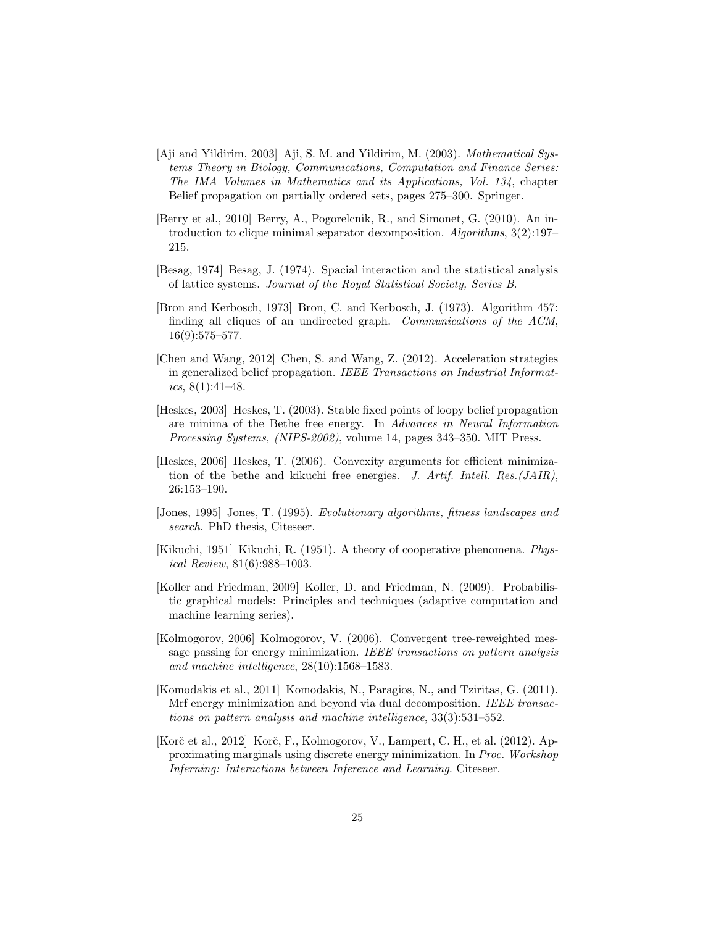- [Aji and Yildirim, 2003] Aji, S. M. and Yildirim, M. (2003). Mathematical Systems Theory in Biology, Communications, Computation and Finance Series: The IMA Volumes in Mathematics and its Applications, Vol. 134, chapter Belief propagation on partially ordered sets, pages 275–300. Springer.
- [Berry et al., 2010] Berry, A., Pogorelcnik, R., and Simonet, G. (2010). An introduction to clique minimal separator decomposition. Algorithms, 3(2):197– 215.
- [Besag, 1974] Besag, J. (1974). Spacial interaction and the statistical analysis of lattice systems. Journal of the Royal Statistical Society, Series B.
- [Bron and Kerbosch, 1973] Bron, C. and Kerbosch, J. (1973). Algorithm 457: finding all cliques of an undirected graph. Communications of the ACM, 16(9):575–577.
- [Chen and Wang, 2012] Chen, S. and Wang, Z. (2012). Acceleration strategies in generalized belief propagation. IEEE Transactions on Industrial Informatics, 8(1):41–48.
- [Heskes, 2003] Heskes, T. (2003). Stable fixed points of loopy belief propagation are minima of the Bethe free energy. In Advances in Neural Information Processing Systems, (NIPS-2002), volume 14, pages 343–350. MIT Press.
- [Heskes, 2006] Heskes, T. (2006). Convexity arguments for efficient minimization of the bethe and kikuchi free energies. J. Artif. Intell. Res.  $(JAIR)$ , 26:153–190.
- [Jones, 1995] Jones, T. (1995). Evolutionary algorithms, fitness landscapes and search. PhD thesis, Citeseer.
- [Kikuchi, 1951] Kikuchi, R. (1951). A theory of cooperative phenomena. Physical Review, 81(6):988–1003.
- [Koller and Friedman, 2009] Koller, D. and Friedman, N. (2009). Probabilistic graphical models: Principles and techniques (adaptive computation and machine learning series).
- [Kolmogorov, 2006] Kolmogorov, V. (2006). Convergent tree-reweighted message passing for energy minimization. IEEE transactions on pattern analysis and machine intelligence, 28(10):1568–1583.
- [Komodakis et al., 2011] Komodakis, N., Paragios, N., and Tziritas, G. (2011). Mrf energy minimization and beyond via dual decomposition. IEEE transactions on pattern analysis and machine intelligence, 33(3):531–552.
- [Korč et al., 2012] Korč, F., Kolmogorov, V., Lampert, C. H., et al. (2012). Approximating marginals using discrete energy minimization. In Proc. Workshop Inferning: Interactions between Inference and Learning. Citeseer.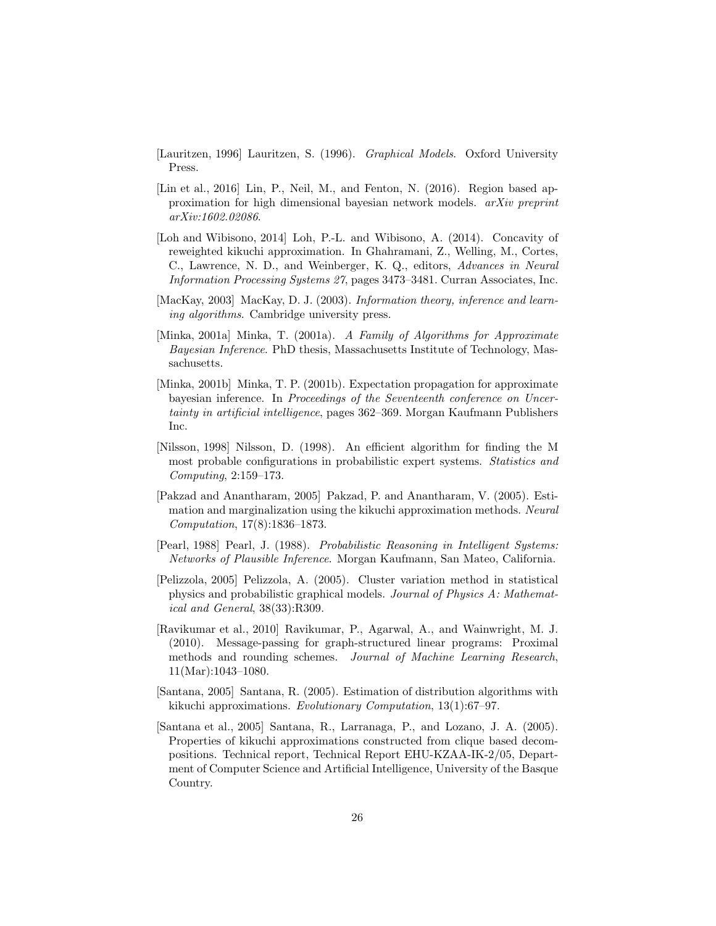- [Lauritzen, 1996] Lauritzen, S. (1996). Graphical Models. Oxford University Press.
- [Lin et al., 2016] Lin, P., Neil, M., and Fenton, N. (2016). Region based approximation for high dimensional bayesian network models. arXiv preprint arXiv:1602.02086.
- [Loh and Wibisono, 2014] Loh, P.-L. and Wibisono, A. (2014). Concavity of reweighted kikuchi approximation. In Ghahramani, Z., Welling, M., Cortes, C., Lawrence, N. D., and Weinberger, K. Q., editors, Advances in Neural Information Processing Systems 27, pages 3473–3481. Curran Associates, Inc.
- [MacKay, 2003] MacKay, D. J. (2003). *Information theory, inference and learn*ing algorithms. Cambridge university press.
- [Minka, 2001a] Minka, T. (2001a). A Family of Algorithms for Approximate Bayesian Inference. PhD thesis, Massachusetts Institute of Technology, Massachusetts.
- [Minka, 2001b] Minka, T. P. (2001b). Expectation propagation for approximate bayesian inference. In Proceedings of the Seventeenth conference on Uncertainty in artificial intelligence, pages 362–369. Morgan Kaufmann Publishers Inc.
- [Nilsson, 1998] Nilsson, D. (1998). An efficient algorithm for finding the M most probable configurations in probabilistic expert systems. Statistics and Computing, 2:159–173.
- [Pakzad and Anantharam, 2005] Pakzad, P. and Anantharam, V. (2005). Estimation and marginalization using the kikuchi approximation methods. Neural Computation, 17(8):1836–1873.
- [Pearl, 1988] Pearl, J. (1988). Probabilistic Reasoning in Intelligent Systems: Networks of Plausible Inference. Morgan Kaufmann, San Mateo, California.
- [Pelizzola, 2005] Pelizzola, A. (2005). Cluster variation method in statistical physics and probabilistic graphical models. Journal of Physics A: Mathematical and General, 38(33):R309.
- [Ravikumar et al., 2010] Ravikumar, P., Agarwal, A., and Wainwright, M. J. (2010). Message-passing for graph-structured linear programs: Proximal methods and rounding schemes. Journal of Machine Learning Research, 11(Mar):1043–1080.
- [Santana, 2005] Santana, R. (2005). Estimation of distribution algorithms with kikuchi approximations. Evolutionary Computation, 13(1):67–97.
- [Santana et al., 2005] Santana, R., Larranaga, P., and Lozano, J. A. (2005). Properties of kikuchi approximations constructed from clique based decompositions. Technical report, Technical Report EHU-KZAA-IK-2/05, Department of Computer Science and Artificial Intelligence, University of the Basque Country.